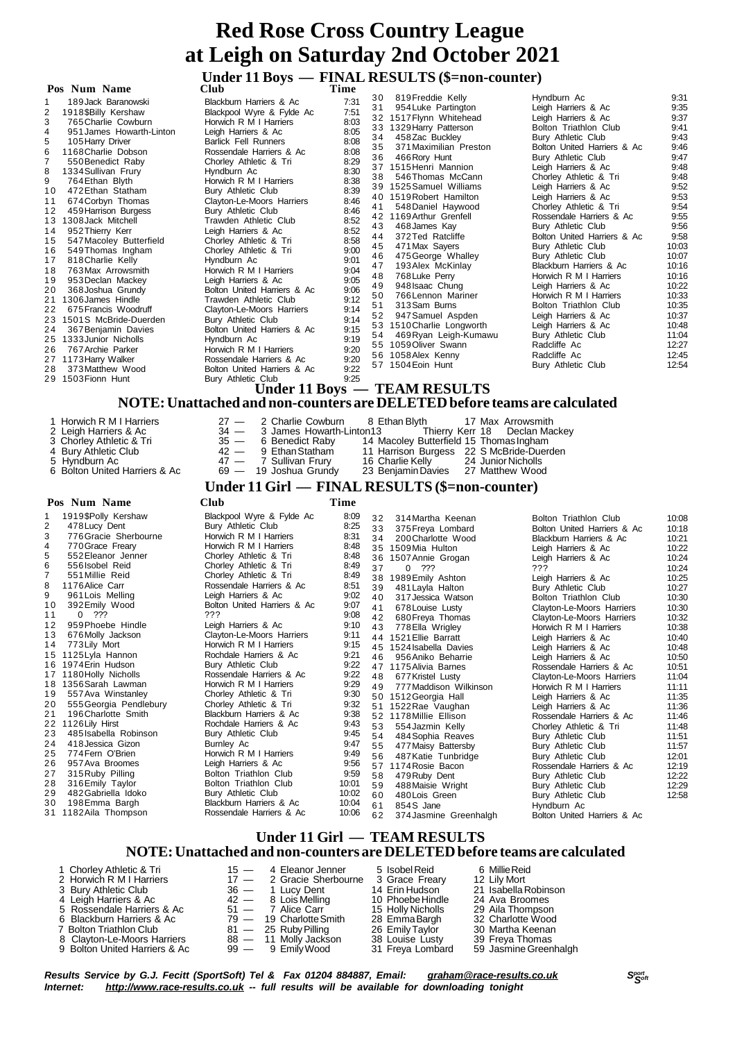# **11 Boys** — **FINAL RESULTS** (\$=non-counter)<br>
Club<br>
Club

| POS.<br>Num Name                                                                                                                                                                                                                                                                                                                                                                                                                                                                                                                                                                                                                                                                                                                                                                                                | CIUD                                                                                                                                                                                                                                                                                                                                                                                                                                                                                                                                                                                                                                                                                                                                                                   | 1 ıme                                                                                                                                                                                                                                |                                                                                                                                                    |                                                                                                                                                                                                                                                                                                                                                                                                                                                                                                                                                                                                                                        |                                                                                                                                                                                                                                                                                                                                                                                                                                                                                                                                                                                                                                                                              |                                                                                                                                                                                                                                           |
|-----------------------------------------------------------------------------------------------------------------------------------------------------------------------------------------------------------------------------------------------------------------------------------------------------------------------------------------------------------------------------------------------------------------------------------------------------------------------------------------------------------------------------------------------------------------------------------------------------------------------------------------------------------------------------------------------------------------------------------------------------------------------------------------------------------------|------------------------------------------------------------------------------------------------------------------------------------------------------------------------------------------------------------------------------------------------------------------------------------------------------------------------------------------------------------------------------------------------------------------------------------------------------------------------------------------------------------------------------------------------------------------------------------------------------------------------------------------------------------------------------------------------------------------------------------------------------------------------|--------------------------------------------------------------------------------------------------------------------------------------------------------------------------------------------------------------------------------------|----------------------------------------------------------------------------------------------------------------------------------------------------|----------------------------------------------------------------------------------------------------------------------------------------------------------------------------------------------------------------------------------------------------------------------------------------------------------------------------------------------------------------------------------------------------------------------------------------------------------------------------------------------------------------------------------------------------------------------------------------------------------------------------------------|------------------------------------------------------------------------------------------------------------------------------------------------------------------------------------------------------------------------------------------------------------------------------------------------------------------------------------------------------------------------------------------------------------------------------------------------------------------------------------------------------------------------------------------------------------------------------------------------------------------------------------------------------------------------------|-------------------------------------------------------------------------------------------------------------------------------------------------------------------------------------------------------------------------------------------|
| 189 Jack Baranowski<br>1918 SBilly Kershaw<br>3<br>765 Charlie Cowburn<br>951 James Howarth-Linton<br>4<br>105 Harry Driver<br>5<br>6<br>1168 Charlie Dobson<br>550 Benedict Raby<br>1334 Sullivan Frury<br>8<br>764 Ethan Blyth<br>472 Ethan Statham<br>10<br>674 Corbyn Thomas<br>11<br>459 Harrison Burgess<br>12<br>1308 Jack Mitchell<br>13<br>952 Thierry Kerr<br>14<br>547 Macoley Butterfield<br>15<br>549 Thomas Ingham<br>16<br>818 Charlie Kelly<br>17<br>763 Max Arrowsmith<br>18<br>19<br>953 Declan Mackey<br>368 Joshua Grundy<br>20<br>1306 James Hindle<br>21<br>22<br>675 Francis Woodruff<br>1501S McBride-Duerden<br>23<br>24<br>367 Benjamin Davies<br>1333 Junior Nicholls<br>25<br>767 Archie Parker<br>26<br>1173 Harry Walker<br>27<br>373 Matthew Wood<br>28<br>1503 Fionn Hunt<br>29 | Blackburn Harriers & Ac<br>Blackpool Wyre & Fylde Ac<br>Horwich R M I Harriers<br>Leigh Harriers & Ac<br><b>Barlick Fell Runners</b><br>Rossendale Harriers & Ac<br>Chorley Athletic & Tri<br>Hyndburn Ac<br>Horwich R M I Harriers<br>Bury Athletic Club<br>Clayton-Le-Moors Harriers<br>Bury Athletic Club<br>Trawden Athletic Club<br>Leigh Harriers & Ac<br>Chorley Athletic & Tri<br>Chorley Athletic & Tri<br>Hyndburn Ac<br>Horwich R M I Harriers<br>Leigh Harriers & Ac<br>Bolton United Harriers & Ac<br>Trawden Athletic Club<br>Clayton-Le-Moors Harriers<br>Bury Athletic Club<br>Bolton United Harriers & Ac<br>Hyndburn Ac<br>Horwich R M I Harriers<br>Rossendale Harriers & Ac<br>Bolton United Harriers & Ac<br>Bury Athletic Club<br>Llnder 11 Rovs | 7:31<br>7:51<br>8:03<br>8:05<br>8:08<br>8:08<br>8:29<br>8:30<br>8:38<br>8:39<br>8:46<br>8:46<br>8:52<br>8:52<br>8:58<br>9:00<br>9:01<br>9:04<br>9:05<br>9:06<br>9:12<br>9:14<br>9:14<br>9:15<br>9:19<br>9:20<br>9:20<br>9:22<br>9:25 | 30<br>31<br>33<br>34<br>35<br>36<br>37<br>38<br>39<br>40<br>41<br>42<br>43<br>44<br>45<br>46<br>47<br>48<br>49<br>50<br>51<br>52<br>53<br>54<br>55 | 819Freddie Kelly<br>954 Luke Partington<br>32 1517 Flynn Whitehead<br>1329 Harry Patterson<br>458Zac Buckley<br>371 Maximilian Preston<br>466 Rory Hunt<br>1515 Henri Mannion<br>546Thomas McCann<br>1525 Samuel Williams<br>1519 Robert Hamilton<br>548 Daniel Haywood<br>1169 Arthur Grenfell<br>468 James Kay<br>372 Ted Ratcliffe<br>471 Max Sayers<br>475 George Whalley<br>193 Alex McKinlay<br>768 Luke Perry<br>948 Isaac Chung<br>766 Lennon Mariner<br>313 Sam Burns<br>947 Samuel Aspden<br>1510 Charlie Longworth<br>469 Ryan Leigh-Kumawu<br>1059 Oliver Swann<br>56 1058 Alex Kenny<br>57 1504 Eoin Hunt<br>TEAM RESHLTS | Hyndburn Ac<br>Leigh Harriers & Ac<br>Leigh Harriers & Ac<br>Bolton Triathlon Club<br>Bury Athletic Club<br>Bolton United Harriers & Ac<br>Bury Athletic Club<br>Leigh Harriers & Ac<br>Chorley Athletic & Tri<br>Leigh Harriers & Ac<br>Leigh Harriers & Ac<br>Chorley Athletic & Tri<br>Rossendale Harriers & Ac<br>Bury Athletic Club<br>Bolton United Harriers & Ac<br>Bury Athletic Club<br>Bury Athletic Club<br>Blackburn Harriers & Ac<br>Horwich R M I Harriers<br>Leigh Harriers & Ac<br>Horwich R M I Harriers<br>Bolton Triathlon Club<br>Leigh Harriers & Ac<br>Leigh Harriers & Ac<br>Bury Athletic Club<br>Radcliffe Ac<br>Radcliffe Ac<br>Bury Athletic Club | 9:31<br>9:35<br>9:37<br>9:41<br>9:43<br>9:46<br>9:47<br>9:48<br>9:48<br>9:52<br>9:53<br>9:54<br>9:55<br>9:56<br>9:58<br>10:03<br>10:07<br>10:16<br>10:16<br>10:22<br>10:33<br>10:35<br>10:37<br>10:48<br>11:04<br>12:27<br>12:45<br>12:54 |
|                                                                                                                                                                                                                                                                                                                                                                                                                                                                                                                                                                                                                                                                                                                                                                                                                 |                                                                                                                                                                                                                                                                                                                                                                                                                                                                                                                                                                                                                                                                                                                                                                        |                                                                                                                                                                                                                                      |                                                                                                                                                    |                                                                                                                                                                                                                                                                                                                                                                                                                                                                                                                                                                                                                                        |                                                                                                                                                                                                                                                                                                                                                                                                                                                                                                                                                                                                                                                                              |                                                                                                                                                                                                                                           |

|                                                                                                                                            |                                                                                                                                                                                                                                                                                                                                                                                                                                                                                                                                                                                                        | <b>URULL 11 DUYS</b>                                                                                                                                                                                                                                                                                                                                                                                                                                                                                                                                                                                                                                                                                                  |                                                                                                                                                                                                                               |                                                                                                    | $-$ LEAR NEGUL 19<br>NOTE: Unattached and non-counters are DELETED before teams are calculated                                                                                                                                                                                                                                                                                                                                                                                                                                                                                                                                        |                                                                                                                                                                                                                                                                                                                                                                                                                                                                                                                                                                                                                                                                                                         |                                                                                                                                                                                                                                                          |
|--------------------------------------------------------------------------------------------------------------------------------------------|--------------------------------------------------------------------------------------------------------------------------------------------------------------------------------------------------------------------------------------------------------------------------------------------------------------------------------------------------------------------------------------------------------------------------------------------------------------------------------------------------------------------------------------------------------------------------------------------------------|-----------------------------------------------------------------------------------------------------------------------------------------------------------------------------------------------------------------------------------------------------------------------------------------------------------------------------------------------------------------------------------------------------------------------------------------------------------------------------------------------------------------------------------------------------------------------------------------------------------------------------------------------------------------------------------------------------------------------|-------------------------------------------------------------------------------------------------------------------------------------------------------------------------------------------------------------------------------|----------------------------------------------------------------------------------------------------|---------------------------------------------------------------------------------------------------------------------------------------------------------------------------------------------------------------------------------------------------------------------------------------------------------------------------------------------------------------------------------------------------------------------------------------------------------------------------------------------------------------------------------------------------------------------------------------------------------------------------------------|---------------------------------------------------------------------------------------------------------------------------------------------------------------------------------------------------------------------------------------------------------------------------------------------------------------------------------------------------------------------------------------------------------------------------------------------------------------------------------------------------------------------------------------------------------------------------------------------------------------------------------------------------------------------------------------------------------|----------------------------------------------------------------------------------------------------------------------------------------------------------------------------------------------------------------------------------------------------------|
|                                                                                                                                            | 1 Horwich R M I Harriers<br>2 Leigh Harriers & Ac<br>3 Chorley Athletic & Tri<br>4 Bury Athletic Club<br>5 Hyndburn Ac<br>6 Bolton United Harriers & Ac                                                                                                                                                                                                                                                                                                                                                                                                                                                | 2 Charlie Cowburn<br>$27 -$<br>$34 -$<br>3 James Howarth-Linton13<br>$35 -$<br>6 Benedict Raby<br>$42 -$<br>9 Ethan Statham<br>$47 -$<br>7 Sullivan Frury<br>$69 -$<br>19 Joshua Grundy                                                                                                                                                                                                                                                                                                                                                                                                                                                                                                                               |                                                                                                                                                                                                                               |                                                                                                    | 8 Ethan Blyth<br>17 Max Arrowsmith<br>Thierry Kerr 18<br>14 Macoley Butterfield 15 Thomas Ingham<br>11 Harrison Burgess 22 S McBride-Duerden<br>16 Charlie Kelly<br>24 Junior Nicholls<br>23 Benjamin Davies<br>27 Matthew Wood                                                                                                                                                                                                                                                                                                                                                                                                       | Declan Mackey                                                                                                                                                                                                                                                                                                                                                                                                                                                                                                                                                                                                                                                                                           |                                                                                                                                                                                                                                                          |
|                                                                                                                                            |                                                                                                                                                                                                                                                                                                                                                                                                                                                                                                                                                                                                        |                                                                                                                                                                                                                                                                                                                                                                                                                                                                                                                                                                                                                                                                                                                       |                                                                                                                                                                                                                               |                                                                                                    | Under 11 Girl — FINAL RESULTS (\$=non-counter)                                                                                                                                                                                                                                                                                                                                                                                                                                                                                                                                                                                        |                                                                                                                                                                                                                                                                                                                                                                                                                                                                                                                                                                                                                                                                                                         |                                                                                                                                                                                                                                                          |
|                                                                                                                                            | Pos Num Name                                                                                                                                                                                                                                                                                                                                                                                                                                                                                                                                                                                           | <b>Club</b>                                                                                                                                                                                                                                                                                                                                                                                                                                                                                                                                                                                                                                                                                                           | Time                                                                                                                                                                                                                          |                                                                                                    |                                                                                                                                                                                                                                                                                                                                                                                                                                                                                                                                                                                                                                       |                                                                                                                                                                                                                                                                                                                                                                                                                                                                                                                                                                                                                                                                                                         |                                                                                                                                                                                                                                                          |
| 1<br>2<br>3<br>4<br>5<br>6<br>$\overline{7}$<br>8<br>9<br>10<br>11<br>12<br>13<br>14<br>19<br>20<br>21<br>23<br>24<br>25<br>26<br>27<br>28 | 1919\$Polly Kershaw<br>478 Lucy Dent<br>776 Gracie Sherbourne<br>770 Grace Freary<br>552 Eleanor Jenner<br>556 Isobel Reid<br>551 Millie Reid<br>1176 Alice Carr<br>961 Lois Melling<br>392 Emily Wood<br>$0$ ???<br>959 Phoebe Hindle<br>676 Molly Jackson<br>773 Lily Mort<br>15 1125 Lyla Hannon<br>16 1974 Erin Hudson<br>17 1180 Holly Nicholls<br>18 1356 Sarah Lawman<br>557 Ava Winstanley<br>555 Georgia Pendlebury<br>196 Charlotte Smith<br>22 1126 Lily Hirst<br>485 Isabella Robinson<br>418 Jessica Gizon<br>774 Fern O'Brien<br>957 Ava Broomes<br>315 Ruby Pilling<br>316 Emily Taylor | Blackpool Wyre & Fylde Ac<br><b>Bury Athletic Club</b><br>Horwich R M I Harriers<br>Horwich R M I Harriers<br>Chorley Athletic & Tri<br>Chorley Athletic & Tri<br>Chorley Athletic & Tri<br>Rossendale Harriers & Ac<br>Leigh Harriers & Ac<br>Bolton United Harriers & Ac<br>???<br>Leigh Harriers & Ac<br>Clayton-Le-Moors Harriers<br>Horwich R M I Harriers<br>Rochdale Harriers & Ac<br>Bury Athletic Club<br>Rossendale Harriers & Ac<br>Horwich R M I Harriers<br>Chorley Athletic & Tri<br>Chorley Athletic & Tri<br>Blackburn Harriers & Ac<br>Rochdale Harriers & Ac<br>Bury Athletic Club<br>Burnley Ac<br>Horwich R M I Harriers<br>Leigh Harriers & Ac<br>Bolton Triathlon Club<br>Bolton Triathlon Club | 8:09<br>8:25<br>8:31<br>8:48<br>8:48<br>8.49<br>8:49<br>8:51<br>9:02<br>9:07<br>9:08<br>9:10<br>9:11<br>9:15<br>9:21<br>9:22<br>9:22<br>9:29<br>9:30<br>9:32<br>9:38<br>9:43<br>9:45<br>9:47<br>9:49<br>9:56<br>9:59<br>10:01 | 32<br>33<br>34<br>37<br>39<br>41<br>42<br>43<br>46<br>48<br>49<br>53<br>54<br>55<br>56<br>58<br>59 | 314 Martha Keenan<br>375 Freya Lombard<br>200 Charlotte Wood<br>35 1509 Mia Hulton<br>36 1507 Annie Grogan<br>$0$ ???<br>38 1989 Emily Ashton<br>481 Layla Halton<br>40 317 Jessica Watson<br>678 Louise Lusty<br>680 Freya Thomas<br>778 Ella Wrigley<br>44 1521 Ellie Barratt<br>45 1524 Isabella Davies<br>956 Aniko Beharrie<br>47 1175 Alivia Barnes<br>677 Kristel Lusty<br>777 Maddison Wilkinson<br>50 1512 Georgia Hall<br>51 1522 Rae Vaughan<br>52 1178 Millie Ellison<br>554 Jazmin Kelly<br>484 Sophia Reaves<br>477 Maisy Battersby<br>487 Katie Tunbridge<br>57 1174 Rosie Bacon<br>479 Ruby Dent<br>488 Maisie Wright | Bolton Triathlon Club<br>Bolton United Harriers & Ac<br>Blackburn Harriers & Ac<br>Leigh Harriers & Ac<br>Leigh Harriers & Ac<br>$??\%$<br>Leigh Harriers & Ac<br>Bury Athletic Club<br>Bolton Triathlon Club<br>Clayton-Le-Moors Harriers<br>Clayton-Le-Moors Harriers<br>Horwich R M I Harriers<br>Leigh Harriers & Ac<br>Leigh Harriers & Ac<br>Leigh Harriers & Ac<br>Rossendale Harriers & Ac<br>Clayton-Le-Moors Harriers<br>Horwich R M I Harriers<br>Leigh Harriers & Ac<br>Leigh Harriers & Ac<br>Rossendale Harriers & Ac<br>Chorley Athletic & Tri<br>Bury Athletic Club<br>Bury Athletic Club<br>Bury Athletic Club<br>Rossendale Harriers & Ac<br>Bury Athletic Club<br>Bury Athletic Club | 10:08<br>10:18<br>10:21<br>10:22<br>10:24<br>10:24<br>10:25<br>10:27<br>10:30<br>10:30<br>10:32<br>10:38<br>10:40<br>10:48<br>10:50<br>10:51<br>11:04<br>11:11<br>11:35<br>11:36<br>11:46<br>11:48<br>11:51<br>11:57<br>12:01<br>12:19<br>12:22<br>12:29 |
| 29<br>30                                                                                                                                   | 482 Gabriella Idoko<br>198 Emma Bargh                                                                                                                                                                                                                                                                                                                                                                                                                                                                                                                                                                  | Bury Athletic Club<br>Blackburn Harriers & Ac                                                                                                                                                                                                                                                                                                                                                                                                                                                                                                                                                                                                                                                                         | 10:02<br>10:04                                                                                                                                                                                                                | 60<br>61                                                                                           | 480 Lois Green<br>854S Jane                                                                                                                                                                                                                                                                                                                                                                                                                                                                                                                                                                                                           | Bury Athletic Club<br>Hyndburn Ac                                                                                                                                                                                                                                                                                                                                                                                                                                                                                                                                                                                                                                                                       | 12:58                                                                                                                                                                                                                                                    |
|                                                                                                                                            | 31 1182 Aila Thompson                                                                                                                                                                                                                                                                                                                                                                                                                                                                                                                                                                                  | Rossendale Harriers & Ac                                                                                                                                                                                                                                                                                                                                                                                                                                                                                                                                                                                                                                                                                              | 10:06                                                                                                                                                                                                                         | 62                                                                                                 | 374 Jasmine Greenhalgh                                                                                                                                                                                                                                                                                                                                                                                                                                                                                                                                                                                                                | Bolton United Harriers & Ac                                                                                                                                                                                                                                                                                                                                                                                                                                                                                                                                                                                                                                                                             |                                                                                                                                                                                                                                                          |
|                                                                                                                                            |                                                                                                                                                                                                                                                                                                                                                                                                                                                                                                                                                                                                        | $\mathbf{H}$ $\mathbf{1}$ $\mathbf{1}$ $\mathbf{1}$ $\mathbf{1}$ $\mathbf{1}$                                                                                                                                                                                                                                                                                                                                                                                                                                                                                                                                                                                                                                         |                                                                                                                                                                                                                               |                                                                                                    | <b>THE A MAIN THAT THE THE STATE</b>                                                                                                                                                                                                                                                                                                                                                                                                                                                                                                                                                                                                  |                                                                                                                                                                                                                                                                                                                                                                                                                                                                                                                                                                                                                                                                                                         |                                                                                                                                                                                                                                                          |

#### **Under 11 Girl — TEAM RESULTS NOTE:Unattached and non-counters are DELETEDbefore teams are calculated**

| 1 Chorley Athletic & Tri      | $15 - 4$ Eleanor Jenner    | 5 Isobel Reid     | 6 Millie Reid         |
|-------------------------------|----------------------------|-------------------|-----------------------|
| 2 Horwich R M I Harriers      | $17 - 2$ Gracie Sherbourne | 3 Grace Freary    | 12 Lily Mort          |
| 3 Bury Athletic Club          | 36 — 1 Lucy Dent           | 14 Erin Hudson    | 21 Isabella Robinson  |
| 4 Leigh Harriers & Ac         | $42 - 8$ Lois Melling      | 10 Phoebe Hindle  | 24 Ava Broomes        |
| 5 Rossendale Harriers & Ac    | 51 — 7 Alice Carr          | 15 Holly Nicholls | 29 Aila Thompson      |
| 6 Blackburn Harriers & Ac     | $79 - 19$ Charlotte Smith  | 28 EmmaBargh      | 32 Charlotte Wood     |
| 7 Bolton Triathlon Club       | $81 - 25$ Ruby Pilling     | 26 Emily Taylor   | 30 Martha Keenan      |
| 8 Clayton-Le-Moors Harriers   | 88 - 11 Molly Jackson      | 38 Louise Lusty   | 39 Freya Thomas       |
| 9 Bolton United Harriers & Ac | 99 — 9 Emily Wood          | 31 Freya Lombard  | 59 Jasmine Greenhalgh |

Results Service by G.J. Fecitt (SportSoft) Tel & Fax 01204 884887, Email: <u>[graham@race-results.co.uk](mailto:graham@race-results.co.uk)</u> S<sup>oon</sup><br>Internet: <u><http://www.race-results.co.uk></u> -- full results will be available for downloading tonight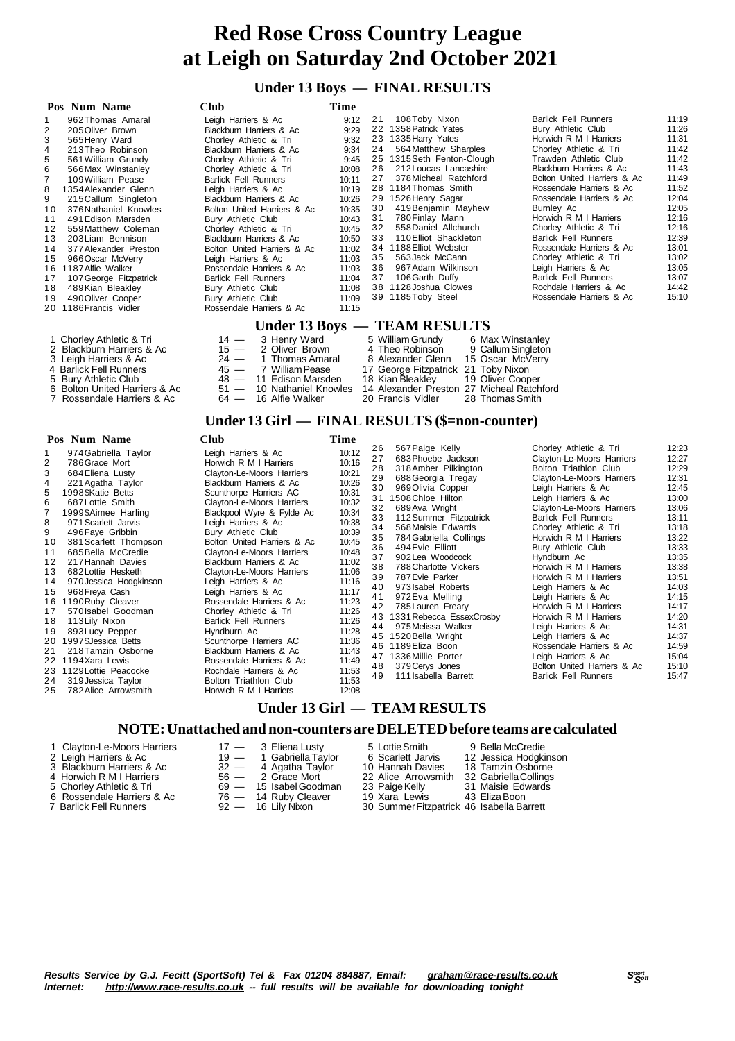#### **Under 13 Boys — FINAL RESULTS**

| Pos Num Name                                                                                                                                                                                                                                                                                                                                                                                                                                                                                                                                                                                       | Club                                                                                                                                                                                                                                                                                                                                                                                                                                                                                                                                                                                          | Time                                                                                                                                                                                               |                                                                                                                                                                                                                                                                                                                                                                                                                                                                                                                                                                                                                  |                                                                                                                                                                                                                                                                                                                                                                                                                                                                                                                                                                     |                                                                                                                                                                                                    |
|----------------------------------------------------------------------------------------------------------------------------------------------------------------------------------------------------------------------------------------------------------------------------------------------------------------------------------------------------------------------------------------------------------------------------------------------------------------------------------------------------------------------------------------------------------------------------------------------------|-----------------------------------------------------------------------------------------------------------------------------------------------------------------------------------------------------------------------------------------------------------------------------------------------------------------------------------------------------------------------------------------------------------------------------------------------------------------------------------------------------------------------------------------------------------------------------------------------|----------------------------------------------------------------------------------------------------------------------------------------------------------------------------------------------------|------------------------------------------------------------------------------------------------------------------------------------------------------------------------------------------------------------------------------------------------------------------------------------------------------------------------------------------------------------------------------------------------------------------------------------------------------------------------------------------------------------------------------------------------------------------------------------------------------------------|---------------------------------------------------------------------------------------------------------------------------------------------------------------------------------------------------------------------------------------------------------------------------------------------------------------------------------------------------------------------------------------------------------------------------------------------------------------------------------------------------------------------------------------------------------------------|----------------------------------------------------------------------------------------------------------------------------------------------------------------------------------------------------|
| 962 Thomas Amaral<br>1<br>$\overline{2}$<br>205 Oliver Brown<br>3<br>565 Henry Ward<br>4<br>213 Theo Robinson<br>5<br>561 William Grundy<br>6<br>566 Max Winstanley<br>7<br>109 William Pease<br>8<br>1354 Alexander Glenn<br>9<br>215 Callum Singleton<br>10<br>376 Nathaniel Knowles<br>11<br>491 Edison Marsden<br>12<br>559 Matthew Coleman<br>203 Liam Bennison<br>13<br>14<br>377 Alexander Preston<br>966 Oscar McVerry<br>15<br>16 1187 Alfie Walker<br>107 George Fitzpatrick<br>17<br>489 Kian Bleakley<br>18<br>19<br>490 Oliver Cooper<br>20 1186 Francis Vidler                       | Leigh Harriers & Ac<br>Blackburn Harriers & Ac<br>Chorley Athletic & Tri<br>Blackburn Harriers & Ac<br>Chorley Athletic & Tri<br>Chorley Athletic & Tri<br><b>Barlick Fell Runners</b><br>Leigh Harriers & Ac<br>Blackburn Harriers & Ac<br>Bolton United Harriers & Ac<br>Bury Athletic Club<br>Chorley Athletic & Tri<br>Blackburn Harriers & Ac<br>Bolton United Harriers & Ac<br>Leigh Harriers & Ac<br>Rossendale Harriers & Ac<br><b>Barlick Fell Runners</b><br>Bury Athletic Club<br>Bury Athletic Club<br>Rossendale Harriers & Ac                                                   | 9:12<br>9:29<br>9:32<br>9:34<br>9:45<br>10:08<br>10:11<br>10:19<br>10:26<br>10:35<br>10:43<br>10:45<br>10:50<br>11:02<br>11:03<br>11:03<br>11:04<br>11:08<br>11:09<br>11:15                        | 21<br>108Toby Nixon<br>22 1358 Patrick Yates<br>23 1335 Harry Yates<br>564 Matthew Sharples<br>24<br>25 1315 Seth Fenton-Clough<br>26<br>212 Loucas Lancashire<br>378 Micheal Ratchford<br>27<br>28 1184 Thomas Smith<br>29 1526 Henry Sagar<br>419 Benjamin Mayhew<br>30<br>780 Finlay Mann<br>31<br>558 Daniel Allchurch<br>32<br>33<br>110 Elliot Shackleton<br>34 1188 Elliot Webster<br>35<br>563 Jack McCann<br>36<br>967 Adam Wilkinson<br>37<br>106 Garth Duffy<br>38 1128 Joshua Clowes<br>39 1185 Toby Steel                                                                                           | <b>Barlick Fell Runners</b><br>Bury Athletic Club<br>Horwich R M I Harriers<br>Chorley Athletic & Tri<br>Trawden Athletic Club<br>Blackburn Harriers & Ac<br>Bolton United Harriers & Ac<br>Rossendale Harriers & Ac<br>Rossendale Harriers & Ac<br>Burnley Ac<br>Horwich R M I Harriers<br>Chorley Athletic & Tri<br><b>Barlick Fell Runners</b><br>Rossendale Harriers & Ac<br>Chorley Athletic & Tri<br>Leigh Harriers & Ac<br><b>Barlick Fell Runners</b><br>Rochdale Harriers & Ac<br>Rossendale Harriers & Ac                                                 | 11:19<br>11:26<br>11:31<br>11:42<br>11:42<br>11:43<br>11:49<br>11:52<br>12:04<br>12:05<br>12:16<br>12:16<br>12:39<br>13:01<br>13:02<br>13:05<br>13:07<br>14:42<br>15:10                            |
|                                                                                                                                                                                                                                                                                                                                                                                                                                                                                                                                                                                                    |                                                                                                                                                                                                                                                                                                                                                                                                                                                                                                                                                                                               |                                                                                                                                                                                                    | Under 13 Boys - TEAM RESULTS                                                                                                                                                                                                                                                                                                                                                                                                                                                                                                                                                                                     |                                                                                                                                                                                                                                                                                                                                                                                                                                                                                                                                                                     |                                                                                                                                                                                                    |
| 1 Chorley Athletic & Tri<br>2 Blackburn Harriers & Ac<br>3 Leigh Harriers & Ac<br>4 Barlick Fell Runners<br>5 Bury Athletic Club<br>6 Bolton United Harriers & Ac<br>7 Rossendale Harriers & Ac                                                                                                                                                                                                                                                                                                                                                                                                    | 3 Henry Ward<br>$14 -$<br>$15 -$<br>2 Oliver Brown<br>$24 -$<br>1 Thomas Amaral<br>$45 -$<br>7 William Pease<br>$48 -$<br>11 Edison Marsden<br>$51 -$<br>10 Nathaniel Knowles<br>$64 -$<br>16 Alfie Walker                                                                                                                                                                                                                                                                                                                                                                                    |                                                                                                                                                                                                    | 5 William Grundy<br>6 Max Winstanley<br>4 Theo Robinson<br>9 Callum Singleton<br>8 Alexander Glenn<br>15 Oscar McVerry<br>17 George Fitzpatrick 21 Toby Nixon<br>18 Kian Bleakley<br>19 Oliver Cooper<br>14 Alexander Preston 27 Micheal Ratchford<br>28 Thomas Smith<br>20 Francis Vidler<br>Under 13 Girl — FINAL RESULTS (\$=non-counter)                                                                                                                                                                                                                                                                     |                                                                                                                                                                                                                                                                                                                                                                                                                                                                                                                                                                     |                                                                                                                                                                                                    |
| Pos Num Name                                                                                                                                                                                                                                                                                                                                                                                                                                                                                                                                                                                       | Club                                                                                                                                                                                                                                                                                                                                                                                                                                                                                                                                                                                          | Time                                                                                                                                                                                               |                                                                                                                                                                                                                                                                                                                                                                                                                                                                                                                                                                                                                  |                                                                                                                                                                                                                                                                                                                                                                                                                                                                                                                                                                     |                                                                                                                                                                                                    |
| 974 Gabriella Taylor<br>1<br>2<br>786 Grace Mort<br>3<br>684 Eliena Lusty<br>4<br>221 Agatha Taylor<br>5<br>1998\$Katie Betts<br>6<br>687 Lottie Smith<br>7<br>1999\$Aimee Harling<br>8<br>971 Scarlett Jarvis<br>9<br>496 Faye Gribbin<br>381 Scarlett Thompson<br>10<br>11<br>685 Bella McCredie<br>12<br>217 Hannah Davies<br>13<br>682 Lottie Hesketh<br>14<br>970 Jessica Hodgkinson<br>968 Freya Cash<br>15<br>16 1190 Ruby Cleaver<br>570 Isabel Goodman<br>17<br>113 Lily Nixon<br>18<br>893 Lucy Pepper<br>19<br>20 1997\$Jessica Betts<br>21<br>218 Tamzin Osborne<br>22 1194 Xara Lewis | Leigh Harriers & Ac<br>Horwich R M I Harriers<br>Clayton-Le-Moors Harriers<br>Blackburn Harriers & Ac<br>Scunthorpe Harriers AC<br>Clayton-Le-Moors Harriers<br>Blackpool Wyre & Fylde Ac<br>Leigh Harriers & Ac<br>Bury Athletic Club<br>Bolton United Harriers & Ac<br>Clayton-Le-Moors Harriers<br>Blackburn Harriers & Ac<br>Clayton-Le-Moors Harriers<br>Leigh Harriers & Ac<br>Leigh Harriers & Ac<br>Rossendale Harriers & Ac<br>Chorley Athletic & Tri<br><b>Barlick Fell Runners</b><br>Hyndburn Ac<br>Scunthorpe Harriers AC<br>Blackburn Harriers & Ac<br>Rossendale Harriers & Ac | 10:12<br>10:16<br>10:21<br>10:26<br>10:31<br>10:32<br>10:34<br>10:38<br>10:39<br>10:45<br>10:48<br>11:02<br>11:06<br>11:16<br>11:17<br>11:23<br>11:26<br>11:26<br>11:28<br>11:36<br>11:43<br>11.49 | 567 Paige Kelly<br>26<br>27<br>683 Phoebe Jackson<br>28<br>318 Amber Pilkington<br>29<br>688 Georgia Tregay<br>30<br>969 Olivia Copper<br>31 1508 Chloe Hilton<br>689 Ava Wright<br>32<br>33<br>112 Summer Fitzpatrick<br>34<br>568 Maisie Edwards<br>35<br>784 Gabriella Collings<br>36<br>494 Evie Elliott<br>37<br>902 Lea Woodcock<br>38<br>788 Charlotte Vickers<br>39<br>787 Evie Parker<br>40<br>973 Isabel Roberts<br>41<br>972 Eva Melling<br>42<br>785 Lauren Freary<br>43 1331 Rebecca EssexCrosby<br>44<br>975 Melissa Walker<br>45 1520 Bella Wright<br>46 1189 Eliza Boon<br>47 1336 Millie Porter | Chorley Athletic & Tri<br>Clayton-Le-Moors Harriers<br>Bolton Triathlon Club<br>Clayton-Le-Moors Harriers<br>Leigh Harriers & Ac<br>Leigh Harriers & Ac<br>Clayton-Le-Moors Harriers<br><b>Barlick Fell Runners</b><br>Chorley Athletic & Tri<br>Horwich R M I Harriers<br>Bury Athletic Club<br>Hyndburn Ac<br>Horwich R M I Harriers<br>Horwich R M I Harriers<br>Leigh Harriers & Ac<br>Leigh Harriers & Ac<br>Horwich R M I Harriers<br>Horwich R M I Harriers<br>Leigh Harriers & Ac<br>Leigh Harriers & Ac<br>Rossendale Harriers & Ac<br>Leigh Harriers & Ac | 12:23<br>12:27<br>12:29<br>12:31<br>12:45<br>13:00<br>13:06<br>13:11<br>13:18<br>13:22<br>13:33<br>13:35<br>13:38<br>13:51<br>14:03<br>14:15<br>14:17<br>14:20<br>14:31<br>14:37<br>14:59<br>15:04 |

- 23 1129 Lottie Peacocke Mood Rochdale Harriers & Ac 11:53<br>24 319 Jessica Taylor Bolton Triathlon Club 11:53 2 4 319Jessica Taylor Bolton Triathlon Club 11:53
- 782 Alice Arrowsmith

### **Under 13 Girl — TEAM RESULTS**

#### **NOTE:Unattached and non-counters are DELETEDbefore teams are calculated**

| 1 Clayton-Le-Moors Harriers |
|-----------------------------|
| 2 Loigh Harriore & Ac       |

- 
- 
- 
- 6 Rossendale Harriers & Ac 76 14 Ruby Cleaver 19 Assendale Harriers & Ac 76 14 Ruby Cleaver 19 According 19 According 19 According 19 According 19 According 19 According 19 According 19 According 19 According 19 Accord
	-
- 

Rossendale Harriers & Ac 11:49<br>Rochdale Harriers & Ac 11:53

- 
- 5 Chorley Athletic & Tri 69 15 Isabel Goodman 23 Paige Kelly 31 Maisie Edward 6 Rossendale Harriers & Ac 76 14 Ruby Cleaver 19 Xara Lewis 43 Eliza Boon
	-

- 
- 17 3 Eliena Lusty 5 Lottie Smith 9 Bella McCredie<br>19 1 Gabriella Taylor 6 Scarlett Jarvis 12 Jessica Hodgki<br>32 4 Agatha Taylor 10 Hannah Davies 18 Tamzin Osborn 2 Leigh Harriers & Accepts Accepts Accepts Accepts Accepts 12 Jessica Hodgkinson<br>
2 Acqatha Taylor 10 Hannah Davies 18 Tamzin Osborne 3 Blackburn Harriers & Ac 32 — 4 Agatha Taylor 10 Hannah Davies 18 Tamzin Osborne 4 Horwich R M I Harriers 56 — 2 Grace Mort 22 Alice Arrowsmith 32 GabriellaCollings
	- - -

4 1336 Millie Porter Leigh Harriers & Ac 15:04<br>48 379 Cerys Jones Bolton United Harriers & Ac 15:10 4 8 379Cerys Jones Bolton United Harriers & Ac 15:10

Barlick Fell Runners

30 Summer Fitzpatrick 46 Isabella Barrett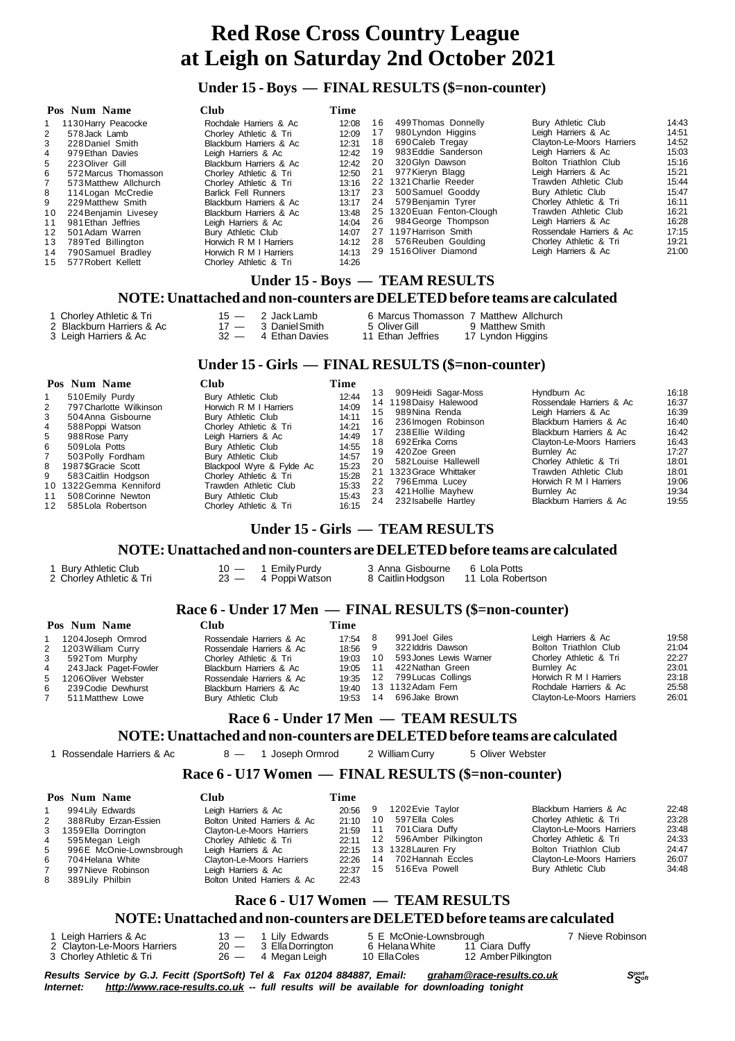### **Under 15 - Boys — FINAL RESULTS (\$=non-counter)**

|    | Pos Num Name          | Club                        | Time  |    |                            |                                  |       |
|----|-----------------------|-----------------------------|-------|----|----------------------------|----------------------------------|-------|
|    | 1130 Harry Peacocke   | Rochdale Harriers & Ac      | 12:08 | 16 | 499 Thomas Donnelly        | Bury Athletic Club               | 14:43 |
| 2  | 578 Jack Lamb         | Chorley Athletic & Tri      | 12:09 | 17 | 980 Lyndon Higgins         | Leigh Harriers & Ac              | 14:51 |
| 3  | 228 Daniel Smith      | Blackburn Harriers & Ac     | 12:31 | 18 | 690 Caleb Tregay           | <b>Clayton-Le-Moors Harriers</b> | 14:52 |
| 4  | 979 Ethan Davies      | Leigh Harriers & Ac         | 12:42 | 19 | 983 Eddie Sanderson        | Leigh Harriers & Ac              | 15:03 |
| 5  | 223 Oliver Gill       | Blackburn Harriers & Ac     | 12:42 | 20 | 320 Glvn Dawson            | Bolton Triathlon Club            | 15:16 |
| 6  | 572 Marcus Thomasson  | Chorley Athletic & Tri      | 12:50 | 21 | 977 Kieryn Blagg           | Leigh Harriers & Ac              | 15:21 |
|    | 573 Matthew Allchurch | Chorley Athletic & Tri      | 13:16 |    | 22 1321 Charlie Reeder     | Trawden Athletic Club            | 15:44 |
| 8  | 114 Logan McCredie    | <b>Barlick Fell Runners</b> | 13:17 | 23 | 500 Samuel Gooddy          | Bury Athletic Club               | 15:47 |
| 9  | 229 Matthew Smith     | Blackburn Harriers & Ac     | 13:17 | 24 | 579 Benjamin Tyrer         | Chorley Athletic & Tri           | 16:11 |
| 10 | 224 Beniamin Livesev  | Blackburn Harriers & Ac     | 13:48 |    | 25 1320 Euan Fenton-Clough | Trawden Athletic Club            | 16:21 |
| 11 | 981 Ethan Jeffries    | Leigh Harriers & Ac         | 14:04 |    | 26 984 George Thompson     | Leigh Harriers & Ac              | 16:28 |
| 12 | 501 Adam Warren       | Bury Athletic Club          | 14:07 |    | 27 1197 Harrison Smith     | Rossendale Harriers & Ac         | 17:15 |
| 13 | 789Ted Billington     | Horwich R M I Harriers      | 14:12 |    | 28 576 Reuben Goulding     | Chorley Athletic & Tri           | 19:21 |
| 14 | 790 Samuel Bradley    | Horwich R M I Harriers      | 14:13 |    | 29 1516 Oliver Diamond     | Leigh Harriers & Ac              | 21:00 |
|    | 15 577 Robert Kellett | Chorley Athletic & Tri      | 14:26 |    |                            |                                  |       |

## **Under 15 - Boys — TEAM RESULTS**

#### **NOTE:Unattached and non-counters are DELETEDbefore teams are calculated**

| 1 Chorley Athletic & Tri<br>2 Blackburn Harriers & Ac<br>3 Leigh Harriers & Ac |  | 15 — 2 Jack Lamb<br>$17 - 3$ Daniel Smith<br>$32 - 4$ Ethan Davies | 6 Marcus Thomasson 7 Matthew Allchurch<br>5 Oliver Gill<br>11 Ethan Jeffries |  | 9 Matthew Smith<br>17 Lyndon Higgins |
|--------------------------------------------------------------------------------|--|--------------------------------------------------------------------|------------------------------------------------------------------------------|--|--------------------------------------|
|--------------------------------------------------------------------------------|--|--------------------------------------------------------------------|------------------------------------------------------------------------------|--|--------------------------------------|

#### **Under 15 - Girls — FINAL RESULTS (\$=non-counter)**

|                                             | Pos Num Name                                                                                                                                                                                                                                                      | Club                                                                                                                                                                                                                                                                                            | Time                                                                                                     |                                                     |                                                                                                                                                                                                                                                                 |                                                                                                                                                                                                                                                                                       |                                                                                                          |
|---------------------------------------------|-------------------------------------------------------------------------------------------------------------------------------------------------------------------------------------------------------------------------------------------------------------------|-------------------------------------------------------------------------------------------------------------------------------------------------------------------------------------------------------------------------------------------------------------------------------------------------|----------------------------------------------------------------------------------------------------------|-----------------------------------------------------|-----------------------------------------------------------------------------------------------------------------------------------------------------------------------------------------------------------------------------------------------------------------|---------------------------------------------------------------------------------------------------------------------------------------------------------------------------------------------------------------------------------------------------------------------------------------|----------------------------------------------------------------------------------------------------------|
| 2<br>3<br>4<br>5<br>6<br>8<br>9<br>11<br>12 | 510 Emily Purdy<br>797 Charlotte Wilkinson<br>504 Anna Gisbourne<br>588 Poppi Watson<br>988 Rose Parry<br>509 Lola Potts<br>503 Polly Fordham<br>1987\$Gracie Scott<br>583 Caitlin Hodgson<br>10 1322 Gemma Kenniford<br>508 Corinne Newton<br>585 Lola Robertson | Bury Athletic Club<br>Horwich R M I Harriers<br>Bury Athletic Club<br>Chorley Athletic & Tri<br>Leigh Harriers & Ac<br>Bury Athletic Club<br>Bury Athletic Club<br>Blackpool Wyre & Fylde Ac<br>Chorley Athletic & Tri<br>Trawden Athletic Club<br>Bury Athletic Club<br>Chorley Athletic & Tri | 12:44<br>14:09<br>14:11<br>14:21<br>14:49<br>14:55<br>14:57<br>15:23<br>15:28<br>15:33<br>15:43<br>16:15 | 13<br>15<br>16.<br>18<br>19<br>20<br>22<br>23<br>24 | 909 Heidi Sagar-Moss<br>14 1198Daisy Halewood<br>989Nina Renda<br>236 Imogen Robinson<br>238 Ellie Wilding<br>692 Erika Corns<br>420Zoe Green<br>582 Louise Hallewell<br>21 1323 Grace Whittaker<br>796 Emma Lucey<br>421 Hollie Mayhew<br>232 Isabelle Hartley | Hyndburn Ac<br>Rossendale Harriers & Ac<br>Leigh Harriers & Ac<br>Blackburn Harriers & Ac<br>Blackburn Harriers & Ac<br>Clayton-Le-Moors Harriers<br>Burnley Ac<br>Chorley Athletic & Tri<br>Trawden Athletic Club<br>Horwich R M I Harriers<br>Burnley Ac<br>Blackburn Harriers & Ac | 16:18<br>16:37<br>16:39<br>16:40<br>16:42<br>16:43<br>17:27<br>18:01<br>18:01<br>19:06<br>19:34<br>19:55 |
|                                             |                                                                                                                                                                                                                                                                   |                                                                                                                                                                                                                                                                                                 |                                                                                                          |                                                     |                                                                                                                                                                                                                                                                 |                                                                                                                                                                                                                                                                                       |                                                                                                          |

#### **Under 15 - Girls — TEAM RESULTS**

#### **NOTE:Unattached and non-counters are DELETEDbefore teams are calculated**

2 Chorley Athletic & Tri

1 Bury Athletic Club 10 - 1 Emily Purdy 3 Anna Gisbourne 6 Lola Potts<br>2 Chorley Athletic & Tri 23 - 4 Poppi Watson 8 Caitlin Hodgson 11 Lola Robertson

# **Race 6 - Under 17 Men — FINAL RESULTS (\$=non-counter)**

|   | Pos Num Name            | Club                     | Time     |    |                        |                           |       |
|---|-------------------------|--------------------------|----------|----|------------------------|---------------------------|-------|
|   | 1204 Joseph Ormrod      | Rossendale Harriers & Ac | 17:54 8  |    | 991 Joel Giles         | Leigh Harriers & Ac       | 19:58 |
|   | 2 1203 William Curry    | Rossendale Harriers & Ac | 18:56 9  |    | 322 Iddris Dawson      | Bolton Triathlon Club     | 21:04 |
| 3 | 592Tom Murphy           | Chorley Athletic & Tri   | 19:03    | 10 | 593 Jones Lewis Warner | Chorley Athletic & Tri    | 22:27 |
|   | 4 243 Jack Paget-Fowler | Blackburn Harriers & Ac  | 19:05 11 |    | 422 Nathan Green       | <b>Burnley Ac</b>         | 23:01 |
|   | 5 1206 Oliver Webster   | Rossendale Harriers & Ac | 19:35    |    | 12 799 Lucas Collings  | Horwich R M I Harriers    | 23:18 |
| 6 | 239 Codie Dewhurst      | Blackburn Harriers & Ac  | 19:40    |    | 13 1132Adam Fern       | Rochdale Harriers & Ac    | 25:58 |
|   | 511 Matthew Lowe        | Bury Athletic Club       | 19:53    | 14 | 696 Jake Brown         | Clayton-Le-Moors Harriers | 26:01 |

## **Race 6 - Under 17 Men — TEAM RESULTS**

#### **NOTE:Unattached and non-counters are DELETEDbefore teams are calculated**

1 Rossendale Harriers & Ac 8 — 1 Joseph Ormrod 2 William Curry 5 Oliver Webster

## **Race 6 - U17 Women — FINAL RESULTS (\$=non-counter)**

|              | Pos Num Name            | Club                        | Time  |    |                      |                           |       |
|--------------|-------------------------|-----------------------------|-------|----|----------------------|---------------------------|-------|
|              | 994 Lilv Edwards        | Leigh Harriers & Ac         | 20:56 | 9  | 1202 Evie Taylor     | Blackburn Harriers & Ac   | 22:48 |
| $\mathbf{2}$ | 388 Ruby Erzan-Essien   | Bolton United Harriers & Ac | 21:10 | 10 | 597 Ella Coles       | Chorley Athletic & Tri    | 23:28 |
|              | 3 1359 Ella Dorrington  | Clayton-Le-Moors Harriers   | 21:59 | 11 | 701 Ciara Duffy      | Clayton-Le-Moors Harriers | 23:48 |
| 4            | 595 Meaan Leiah         | Chorley Athletic & Tri      | 22:11 | 12 | 596 Amber Pilkington | Chorley Athletic & Tri    | 24:33 |
| 5            | 996E McOnie-Lownsbrough | Leigh Harriers & Ac         | 22:15 |    | 13 1328 Lauren Fry   | Bolton Triathlon Club     | 24:47 |
| 6            | 704 Helana White        | Clayton-Le-Moors Harriers   | 22:26 | 14 | 702 Hannah Eccles    | Clayton-Le-Moors Harriers | 26:07 |
|              | 997 Nieve Robinson      | Leigh Harriers & Ac         | 22:37 | 15 | 516 Eva Powell       | Bury Athletic Club        | 34:48 |
| 8            | 389 Lily Philbin        | Bolton United Harriers & Ac | 22:43 |    |                      |                           |       |

## **Race 6 - U17 Women — TEAM RESULTS**

#### **NOTE:Unattached and non-counters are DELETEDbefore teams are calculated**

| 1 Leigh Harriers & Ac       | $13 -$ |
|-----------------------------|--------|
| 2 Clayton-Le-Moors Harriers | $20 -$ |
| R Chorlev Athletic & Tri    | $26 -$ |

2 Clayton: Le-Moors 20 Ella<br>
2 G Helana White 10 Ella Coles<br>
2 10 Ella Coles

Lily Edwards 5 E McOnie-Lownsbrough 7 Nieve Robinson<br>Ella Dorrington 6 Helana White 11 Ciara Duffy 11 Ciara Duffy<br>12 Amber Pilkington

Results Service by G.J. Fecitt (SportSoft) Tel & Fax 01204 884887, Email: [graham@race-results.co.uk](mailto:graham@race-results.co.uk)<br>Internet: http://www.race-results.co.uk -- full results will be available for downloading topight *Internet: <http://www.race-results.co.uk> -- full results will be available for downloading tonight*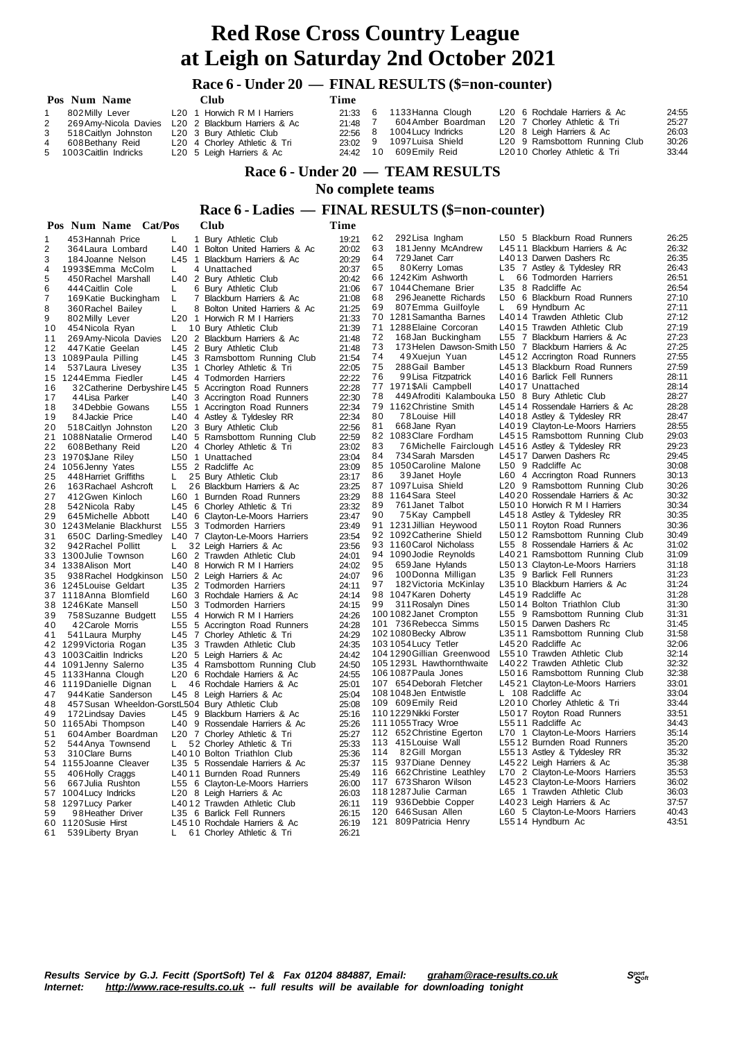## **Race 6 - Under 20 — FINAL RESULTS (\$=non-counter)**

|   | Pos Num Name                     |  | <b>Club</b>                                           | Time    |     |                         |  |                                          |       |
|---|----------------------------------|--|-------------------------------------------------------|---------|-----|-------------------------|--|------------------------------------------|-------|
|   | 802 Milly Lever                  |  | L <sub>20</sub> 1 Horwich R M I Harriers              | 21:33   | - 6 | 1133 Hanna Clough       |  | L <sub>20</sub> 6 Rochdale Harriers & Ac | 24:55 |
|   |                                  |  | 2 269 Amy-Nicola Davies L20 2 Blackburn Harriers & Ac | 21:48 7 |     | 604 Amber Boardman      |  | L20 7 Chorley Athletic & Tri             | 25:27 |
| 3 | 518 Caitlyn Johnston             |  | L20 3 Bury Athletic Club                              | 22:56 8 |     | 1004 Lucy Indricks      |  | L20 8 Leigh Harriers & Ac                | 26:03 |
| 4 | 608 Bethany Reid                 |  | L20 4 Chorley Athletic & Tri                          | 23:02 9 |     | 1097 Luisa Shield       |  | L20 9 Ramsbottom Running Club            | 30:26 |
|   | 5 1003 Caitlin Indricks          |  | L20 5 Leigh Harriers & Ac                             |         |     | 24:42 10 609 Emily Reid |  | L2010 Chorley Athletic & Tri             | 33:44 |
|   | Race 6 - Under 20 — TEAM RESULTS |  |                                                       |         |     |                         |  |                                          |       |

 **No complete teams**

#### **Race 6 - Ladies — FINAL RESULTS (\$=non-counter)**

|                | Pos Num Name Cat/Pos                            |         | Club                                                          | Time           |     |                                                                             |    |                                                   |                |
|----------------|-------------------------------------------------|---------|---------------------------------------------------------------|----------------|-----|-----------------------------------------------------------------------------|----|---------------------------------------------------|----------------|
| 1              | 453 Hannah Price                                | L       | 1 Bury Athletic Club                                          | 19:21          | 62  | 292 Lisa Ingham                                                             |    | L50 5 Blackburn Road Runners                      | 26:25          |
| $\overline{2}$ | 364 Laura Lombard                               |         | L40 1 Bolton United Harriers & Ac                             | 20:02          | 63  | 181 Jenny McAndrew                                                          |    | L4511 Blackburn Harriers & Ac                     | 26:32          |
| 3              | 184 Joanne Nelson                               |         | L45 1 Blackburn Harriers & Ac                                 | 20:29          | 64  | 729 Janet Carr                                                              |    | L4013 Darwen Dashers Rc                           | 26:35          |
| 4              | 1993\$Emma McColm                               | L       | 4 Unattached                                                  | 20:37          | 65  | 80Kerry Lomas                                                               |    | L35 7 Astley & Tyldesley RR                       | 26:43          |
| 5              | 450 Rachel Marshall                             |         | L40 2 Bury Athletic Club                                      | 20:42          |     | 66 1242Kim Ashworth                                                         | L. | 66 Todmorden Harriers                             | 26:51          |
| 6              | 444 Caitlin Cole                                | 6<br>L  | Bury Athletic Club                                            | 21:06          |     | 67 1044 Chemane Brier                                                       |    | L35 8 Radcliffe Ac                                | 26:54          |
| $\overline{7}$ | 169 Katie Buckingham                            | L       | 7 Blackburn Harriers & Ac                                     | 21:08          | 68  | 296 Jeanette Richards                                                       |    | L50 6 Blackburn Road Runners                      | 27:10          |
| 8              | 360 Rachel Bailey                               | L       | 8 Bolton United Harriers & Ac                                 | 21:25          | 69  | 807Emma Guilfoyle                                                           | L. | 69 Hyndburn Ac                                    | 27:11          |
| 9              | 802 Milly Lever                                 |         | L20 1 Horwich R M I Harriers                                  | 21:33          |     | 70 1281 Samantha Barnes                                                     |    | L4014 Trawden Athletic Club                       | 27:12          |
| 10             | 454 Nicola Ryan                                 | L.      | 10 Bury Athletic Club                                         | 21:39          |     | 71 1288 Elaine Corcoran                                                     |    | L4015 Trawden Athletic Club                       | 27:19          |
| 11             | 269 Amy-Nicola Davies                           |         | L20 2 Blackburn Harriers & Ac                                 | 21:48          | 72  | 168 Jan Buckingham                                                          |    | L55 7 Blackburn Harriers & Ac                     | 27:23          |
| 12             | 447 Katie Geelan                                | L45     | 2 Bury Athletic Club                                          | 21:48          | 73  | 173 Helen Dawson-Smith L50 7 Blackburn Harriers & Ac                        |    |                                                   | 27:25          |
|                | 13 1089 Paula Pilling                           |         | L45 3 Ramsbottom Running Club                                 | 21:54          | 74  | 49Xuejun Yuan                                                               |    | L4512 Accrington Road Runners                     | 27:55          |
| 14             | 537 Laura Livesey                               |         | L35 1 Chorley Athletic & Tri                                  | 22:05          | 75  | 288 Gail Bamber                                                             |    | L4513 Blackburn Road Runners                      | 27:59          |
|                | 15 1244 Emma Fiedler                            |         | L45 4 Todmorden Harriers                                      | 22:22          | 76  | 99 Lisa Fitzpatrick                                                         |    | L4016 Barlick Fell Runners                        | 28:11          |
| 16             |                                                 |         | 32 Catherine Derbyshire L45 5 Accrington Road Runners         | 22:28          | 78  | 77 1971 \$Ali Campbell                                                      |    | L4017 Unattached                                  | 28:14          |
| 17             | 44 Lisa Parker                                  |         | L40 3 Accrington Road Runners                                 | 22:30          |     | 449 Afroditi Kalambouka L50 8 Bury Athletic Club<br>79 1162 Christine Smith |    | L4514 Rossendale Harriers & Ac                    | 28:27<br>28:28 |
| 18             | 34 Debbie Gowans                                |         | L55 1 Accrington Road Runners                                 | 22:34          | 80  | 78 Louise Hill                                                              |    | L4018 Astley & Tyldesley RR                       | 28:47          |
| 19             | 84 Jackie Price                                 |         | L40 4 Astley & Tyldesley RR                                   | 22:34          | 81  | 668 Jane Ryan                                                               |    | L4019 Clayton-Le-Moors Harriers                   | 28:55          |
| 20<br>21       | 518 Caitlyn Johnston<br>1088 Natalie Ormerod    |         | L20 3 Bury Athletic Club                                      | 22:56<br>22:59 |     | 82 1083 Clare Fordham                                                       |    | L4515 Ramsbottom Running Club                     | 29:03          |
| 22             | 608 Bethany Reid                                |         | L40 5 Ramsbottom Running Club<br>L20 4 Chorley Athletic & Tri | 23:02          | 83  | 76 Michelle Fairclough L4516 Astley & Tyldesley RR                          |    |                                                   | 29:23          |
|                | 23 1970\$Jane Riley                             |         | L50 1 Unattached                                              | 23:04          | 84  | 734 Sarah Marsden                                                           |    | L4517 Darwen Dashers Rc                           | 29:45          |
|                | 24 1056 Jenny Yates                             |         | L55 2 Radcliffe Ac                                            | 23:09          | 85  | 1050 Caroline Malone                                                        |    | L50 9 Radcliffe Ac                                | 30:08          |
| 25             | 448 Harriet Griffiths                           | L       | 25 Bury Athletic Club                                         | 23:17          | 86  | 39 Janet Hoyle                                                              |    | L60 4 Accrington Road Runners                     | 30:13          |
| 26             | 163 Rachael Ashcroft                            | L.      | 26 Blackburn Harriers & Ac                                    | 23:25          |     | 87 1097 Luisa Shield                                                        |    | L20 9 Ramsbottom Running Club                     | 30:26          |
| 27             | 412 Gwen Kinloch                                | $L60$ 1 | Burnden Road Runners                                          | 23:29          |     | 88 1164 Sara Steel                                                          |    | L4020 Rossendale Harriers & Ac                    | 30:32          |
| 28             | 542 Nicola Raby                                 |         | L45 6 Chorley Athletic & Tri                                  | 23:32          | 89  | 761 Janet Talbot                                                            |    | L5010 Horwich R M I Harriers                      | 30:34          |
| 29             | 645 Michelle Abbott                             |         | L40 6 Clayton-Le-Moors Harriers                               | 23:47          | 90  | 75Kay Campbell                                                              |    | L4518 Astley & Tyldesley RR                       | 30:35          |
|                | 30 1243 Melanie Blackhurst                      |         | L55 3 Todmorden Harriers                                      | 23:49          |     | 91 1231 Jillian Heywood                                                     |    | L5011 Royton Road Runners                         | 30:36          |
| 31             | 650C Darling-Smedley                            |         | L40 7 Clayton-Le-Moors Harriers                               | 23:54          |     | 92 1092 Catherine Shield                                                    |    | L5012 Ramsbottom Running Club                     | 30:49          |
| 32             | 942 Rachel Pollitt                              | L.      | 32 Leigh Harriers & Ac                                        | 23:56          |     | 93 1160 Carol Nicholass                                                     |    | L55 8 Rossendale Harriers & Ac                    | 31:02          |
|                | 33 1300 Julie Townson                           |         | L60 2 Trawden Athletic Club                                   | 24:01          |     | 94 1090 Jodie Reynolds                                                      |    | L4021 Ramsbottom Running Club                     | 31:09          |
|                | 34 1338 Alison Mort                             |         | L40 8 Horwich R M I Harriers                                  | 24:02          | 95  | 659 Jane Hylands                                                            |    | L5013 Clayton-Le-Moors Harriers                   | 31:18          |
| 35             | 938 Rachel Hodgkinson                           |         | L50 2 Leigh Harriers & Ac                                     | 24:07          | 96  | 100Donna Milligan                                                           |    | L35 9 Barlick Fell Runners                        | 31:23          |
|                | 36 1245 Louise Geldart                          |         | L35 2 Todmorden Harriers                                      | 24:11          | 97  | 182 Victoria McKinlay                                                       |    | L3510 Blackburn Harriers & Ac                     | 31:24          |
|                | 37 1118 Anna Blomfield                          |         | L60 3 Rochdale Harriers & Ac                                  | 24:14          |     | 98 1047 Karen Doherty                                                       |    | L4519 Radcliffe Ac                                | 31:28          |
| 38             | 1246Kate Mansell                                |         | L50 3 Todmorden Harriers                                      | 24:15          | 99  | 311 Rosalyn Dines                                                           |    | L5014 Bolton Triathlon Club                       | 31:30          |
| 39             | 758 Suzanne Budgett                             |         | L55 4 Horwich R M I Harriers                                  | 24:26          |     | 1001082Janet Crompton                                                       |    | L55 9 Ramsbottom Running Club                     | 31:31          |
| 40             | 42 Carole Morris                                |         | L55 5 Accrington Road Runners                                 | 24:28          |     | 101 736 Rebecca Simms                                                       |    | L5015 Darwen Dashers Rc                           | 31:45          |
| 41             | 541 Laura Murphy                                |         | L45 7 Chorley Athletic & Tri                                  | 24:29          |     | 102 1080 Becky Albrow                                                       |    | L3511 Ramsbottom Running Club                     | 31:58          |
|                | 42 1299 Victoria Rogan                          |         | L35 3 Trawden Athletic Club                                   | 24:35          |     | 103 1054 Lucy Tetler<br>104 1290 Gillian Greenwood                          |    | L4520 Radcliffe Ac<br>L5510 Trawden Athletic Club | 32:06<br>32:14 |
|                | 43 1003 Caitlin Indricks                        |         | L <sub>20</sub> 5 Leigh Harriers & Ac                         | 24:42          |     | 1051293L Hawthornthwaite                                                    |    | L4022 Trawden Athletic Club                       | 32:32          |
|                | 44 1091 Jenny Salerno                           |         | L35 4 Ramsbottom Running Club<br>L20 6 Rochdale Harriers & Ac | 24:50<br>24:55 |     | 1061087 Paula Jones                                                         |    | L5016 Ramsbottom Running Club                     | 32:38          |
|                | 45 1133 Hanna Clough                            | L       | 46 Rochdale Harriers & Ac                                     | 25:01          |     | 107 654 Deborah Fletcher                                                    |    | L4521 Clayton-Le-Moors Harriers                   | 33:01          |
| 47             | 46 1119 Danielle Dignan<br>944 Katie Sanderson  |         | L45 8 Leigh Harriers & Ac                                     | 25:04          |     | 1081048Jen Entwistle                                                        |    | L 108 Radcliffe Ac                                | 33:04          |
| 48             | 457 Susan Wheeldon-GorstL504 Bury Athletic Club |         |                                                               | 25:08          |     | 109 609 Emily Reid                                                          |    | L2010 Chorley Athletic & Tri                      | 33:44          |
| 49             | 172 Lindsay Davies                              |         | L45 9 Blackburn Harriers & Ac                                 | 25:16          |     | 110 1229 Nikki Forster                                                      |    | L5017 Royton Road Runners                         | 33:51          |
|                | 50 1165Abi Thompson                             |         | L40 9 Rossendale Harriers & Ac                                | 25:26          |     | 111 1055 Tracy Wroe                                                         |    | L5511 Radcliffe Ac                                | 34:43          |
| 51             | 604 Amber Boardman                              |         | L <sub>20</sub> 7 Chorley Athletic & Tri                      | 25:27          |     | 112 652 Christine Egerton                                                   |    | L70 1 Clayton-Le-Moors Harriers                   | 35:14          |
| 52             | 544 Anya Townsend                               | L.      | 52 Chorley Athletic & Tri                                     | 25:33          |     | 113 415 Louise Wall                                                         |    | L5512 Burnden Road Runners                        | 35:20          |
| 53             | 310 Clare Burns                                 |         | L4010 Bolton Triathlon Club                                   | 25:36          | 114 | 82Gill Morgan                                                               |    | L5513 Astley & Tyldesley RR                       | 35:32          |
|                | 54 1155 Joanne Cleaver                          |         | L35 5 Rossendale Harriers & Ac                                | 25:37          |     | 115 937 Diane Denney                                                        |    | L4522 Leigh Harriers & Ac                         | 35:38          |
| 55             | 406 Holly Craggs                                |         | L4011 Burnden Road Runners                                    | 25:49          |     | 116 662 Christine Leathley                                                  |    | L70 2 Clayton-Le-Moors Harriers                   | 35:53          |
| 56             | 667 Julia Rushton                               |         | L55 6 Clayton-Le-Moors Harriers                               | 26:00          |     | 117 673 Sharon Wilson                                                       |    | L4523 Clayton-Le-Moors Harriers                   | 36:02          |
|                | 57 1004 Lucy Indricks                           |         | L <sub>20</sub> 8 Leigh Harriers & Ac                         | 26:03          |     | 118 1287 Julie Carman                                                       |    | L65 1 Trawden Athletic Club                       | 36:03          |
| 58             | 1297 Lucy Parker                                |         | L4012 Trawden Athletic Club                                   | 26:11          |     | 119 936 Debbie Copper                                                       |    | L4023 Leigh Harriers & Ac                         | 37:57          |
| 59             | 98 Heather Driver                               |         | L35 6 Barlick Fell Runners                                    | 26:15          |     | 120 646 Susan Allen                                                         |    | L60 5 Clayton-Le-Moors Harriers                   | 40:43          |
|                | 60 1120 Susie Hirst                             |         | L4510 Rochdale Harriers & Ac                                  | 26:19          |     | 121 809 Patricia Henry                                                      |    | L5514 Hyndburn Ac                                 | 43:51          |
| 61             | 539 Liberty Bryan                               | L.      | 61 Chorley Athletic & Tri                                     | 26:21          |     |                                                                             |    |                                                   |                |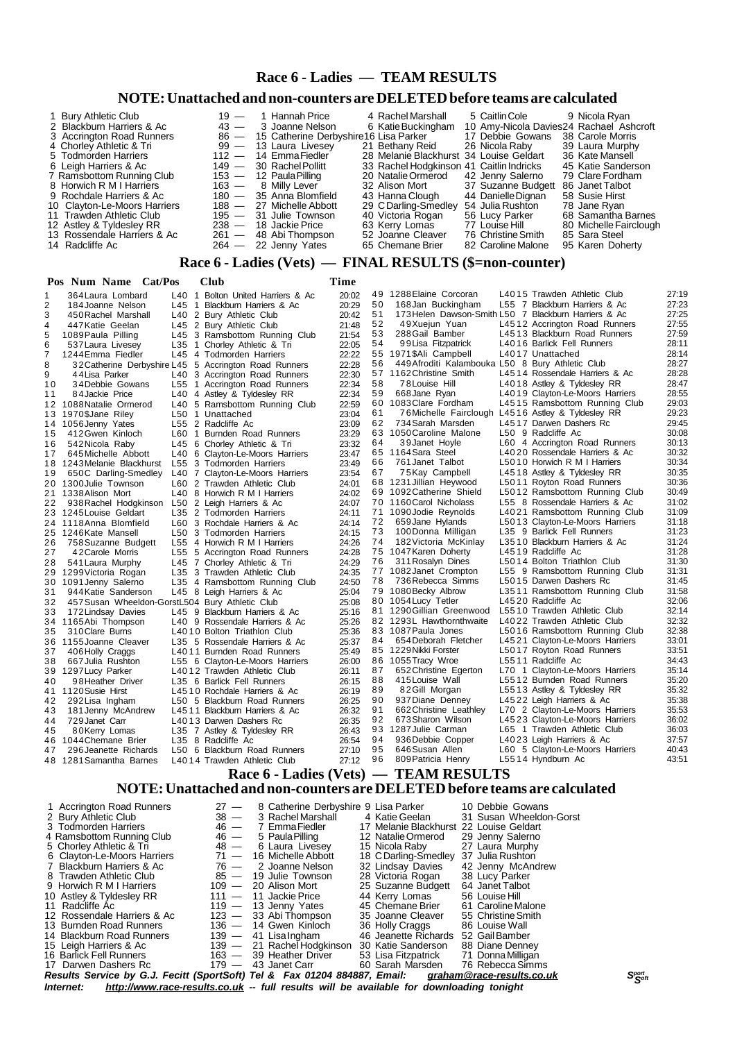## **Race 6 - Ladies — TEAM RESULTS**

## **NOTE:Unattached and non-counters are DELETEDbefore teams are calculated**

| 1 Bury Athletic Club         | $19 - 1$ Hannah Price                       | 4 Rachel Marshall                        | 5 Caitlin Cole     | 9 Nicola Ryan                           |
|------------------------------|---------------------------------------------|------------------------------------------|--------------------|-----------------------------------------|
| 2 Blackburn Harriers & Ac    | $43 - 3$ Joanne Nelson                      | 6 Katie Buckingham                       |                    | 10 Amy-Nicola Davies24 Rachael Ashcroft |
| 3 Accrington Road Runners    | 86 - 15 Catherine Derbyshire 16 Lisa Parker |                                          | 17 Debbie Gowans   | 38 Carole Morris                        |
| 4 Chorley Athletic & Tri     | 99 — 13 Laura Livesey                       | 21 Bethany Reid                          | 26 Nicola Raby     | 39 Laura Murphy                         |
| 5 Todmorden Harriers         | $112 - 14$ EmmaFiedler                      | 28 Melanie Blackhurst 34 Louise Geldart  |                    | 36 Kate Mansell                         |
| 6 Leigh Harriers & Ac        | 149 - 30 Rachel Pollitt                     | 33 Rachel Hodgkinson 41 Caitlin Indricks |                    | 45 Katie Sanderson                      |
| 7 Ramsbottom Running Club    | $153 - 12$ Paula Pilling                    | 20 Natalie Ormerod                       | 42 Jenny Salerno   | 79 Clare Fordham                        |
| 8 Horwich R M I Harriers     | 163 — 8 Milly Lever                         | 32 Alison Mort                           | 37 Suzanne Budgett | 86 Janet Talbot                         |
| 9 Rochdale Harriers & Ac     | 180 - 35 Anna Blomfield                     | 43 Hanna Clough                          | 44 Danielle Dignan | 58 Susie Hirst                          |
| 10 Clayton-Le-Moors Harriers | 188 - 27 Michelle Abbott                    | 29 C Darling-Smedley                     | 54 Julia Rushton   | 78 Jane Rvan                            |
| 11 Trawden Athletic Club     | 195 — 31 Julie Townson                      | 40 Victoria Rogan                        | 56 Lucy Parker     | 68 Samantha Barnes                      |
| 12 Astley & Tyldesley RR     | $238 - 18$ Jackie Price                     | 63 Kerry Lomas                           | 77 Louise Hill     | 80 Michelle Fairclough                  |
| 13 Rossendale Harriers & Ac  | 261 - 48 Abi Thompson                       | 52 Joanne Cleaver                        | 76 Christine Smith | 85 Sara Steel                           |
| 14 Radcliffe Ac              | $264 - 22$ Jenny Yates                      | 65 Chemane Brier                         | 82 Caroline Malone | 95 Karen Doherty                        |

## **Race 6 - Ladies (Vets) — FINAL RESULTS (\$=non-counter)**

|    | Pos Num Name Cat/Pos                            |         | Club                                                                      | <b>Time</b>    |    |                                                      |                                                     |                |
|----|-------------------------------------------------|---------|---------------------------------------------------------------------------|----------------|----|------------------------------------------------------|-----------------------------------------------------|----------------|
| 1  | 364 Laura Lombard                               | $L40$ 1 | Bolton United Harriers & Ac                                               | 20:02          |    | 49 1288 Elaine Corcoran                              | L4015 Trawden Athletic Club                         | 27:19          |
| 2  | 184 Joanne Nelson                               | L45 1   | Blackburn Harriers & Ac                                                   | 20:29          | 50 | 168Jan Buckingham                                    | L55 7 Blackburn Harriers & Ac                       | 27:23          |
| 3  | 450 Rachel Marshall                             |         | L40 2 Bury Athletic Club                                                  | 20:42          | 51 | 173 Helen Dawson-Smith L50 7 Blackburn Harriers & Ac |                                                     | 27:25          |
| 4  | 447 Katie Geelan                                |         | L45 2 Bury Athletic Club                                                  | 21:48          | 52 | 49Xuejun Yuan                                        | L4512 Accrington Road Runners                       | 27:55          |
| 5  | 1089 Paula Pilling                              |         | L45 3 Ramsbottom Running Club                                             | 21:54          | 53 | 288Gail Bamber                                       | L4513 Blackburn Road Runners                        | 27:59          |
| 6  | 537 Laura Livesey                               |         | L35 1 Chorley Athletic & Tri                                              | 22:05          | 54 | 99 Lisa Fitzpatrick                                  | L4016 Barlick Fell Runners                          | 28:11          |
| 7  | 1244 Emma Fiedler                               |         | L45 4 Todmorden Harriers                                                  | 22:22          |    | 55 1971\$Ali Campbell                                | L4017 Unattached                                    | 28:14          |
| 8  |                                                 |         | 32 Catherine Derbyshire L45 5 Accrington Road Runners                     | 22:28          | 56 | 449 Afroditi Kalambouka L50 8 Bury Athletic Club     |                                                     | 28:27          |
| 9  | 44 Lisa Parker                                  |         | L40 3 Accrington Road Runners                                             | 22:30          |    | 57 1162 Christine Smith                              | L4514 Rossendale Harriers & Ac                      | 28:28          |
| 10 | 34 Debbie Gowans                                |         | L55 1 Accrington Road Runners                                             | 22:34          | 58 | 78 Louise Hill                                       | L4018 Astley & Tyldesley RR                         | 28:47          |
| 11 | 84 Jackie Price                                 |         | L40 4 Astley & Tyldesley RR                                               | 22:34          | 59 | 668 Jane Ryan                                        | L4019 Clayton-Le-Moors Harriers                     | 28:55          |
|    | 12 1088 Natalie Ormerod                         |         | L40 5 Ramsbottom Running Club                                             | 22:59          |    | 60 1083 Clare Fordham                                | L4515 Ramsbottom Running Club                       | 29:03          |
|    | 13 1970\$Jane Riley                             |         | L50 1 Unattached                                                          | 23:04          | 61 | 76 Michelle Fairclough L4516 Astley & Tyldesley RR   |                                                     | 29:23          |
|    | 14 1056 Jenny Yates                             |         | L55 2 Radcliffe Ac                                                        | 23:09          | 62 | 734 Sarah Marsden                                    | L4517 Darwen Dashers Rc                             | 29:45          |
| 15 | 412 Gwen Kinloch                                |         | L60 1 Burnden Road Runners                                                | 23:29          |    | 63 1050 Caroline Malone                              | L50 9 Radcliffe Ac                                  | 30:08          |
| 16 | 542 Nicola Raby                                 |         | L45 6 Chorley Athletic & Tri                                              | 23:32          | 64 | 39 Janet Hoyle                                       | L60 4 Accrington Road Runners                       | 30:13          |
| 17 | 645 Michelle Abbott                             |         | L40 6 Clayton-Le-Moors Harriers                                           | 23:47          |    | 65 1164 Sara Steel                                   | L4020 Rossendale Harriers & Ac                      | 30:32          |
|    | 18 1243 Melanie Blackhurst                      |         | L55 3 Todmorden Harriers                                                  | 23:49          | 66 | 761 Janet Talbot                                     | L5010 Horwich R M I Harriers                        | 30:34          |
| 19 | 650C Darling-Smedley                            |         | L40 7 Clayton-Le-Moors Harriers                                           | 23:54          | 67 | 75Kay Campbell                                       | L4518 Astley & Tyldesley RR                         | 30:35          |
|    | 20 1300 Julie Townson                           |         | L60 2 Trawden Athletic Club                                               | 24:01          |    | 68 1231 Jillian Heywood                              | L5011 Royton Road Runners                           | 30:36          |
|    | 21 1338 Alison Mort                             |         | L40 8 Horwich R M I Harriers                                              | 24:02          |    | 69 1092 Catherine Shield                             | L5012 Ramsbottom Running Club                       | 30:49          |
| 22 | 938 Rachel Hodgkinson                           |         | L50 2 Leigh Harriers & Ac                                                 | 24:07          |    | 70 1160 Carol Nicholass                              | L55 8 Rossendale Harriers & Ac                      | 31:02          |
|    | 23 1245 Louise Geldart                          |         | L35 2 Todmorden Harriers                                                  | 24:11          |    | 71 1090 Jodie Reynolds                               | L4021 Ramsbottom Running Club                       | 31:09          |
|    | 24 1118 Anna Blomfield                          |         | L60 3 Rochdale Harriers & Ac                                              | 24:14          | 72 | 659 Jane Hylands                                     | L5013 Clayton-Le-Moors Harriers                     | 31:18          |
|    | 25 1246 Kate Mansell                            |         | L50 3 Todmorden Harriers                                                  | 24:15          | 73 | 100Donna Milligan                                    | L35 9 Barlick Fell Runners                          | 31:23          |
| 26 | 758 Suzanne Budgett                             |         | L55 4 Horwich R M I Harriers                                              | 24:26          | 74 | 182 Victoria McKinlay                                | L3510 Blackburn Harriers & Ac                       | 31:24          |
| 27 | 42 Carole Morris                                |         | L55 5 Accrington Road Runners                                             | 24:28          |    | 75 1047 Karen Doherty                                | L4519 Radcliffe Ac                                  | 31:28          |
| 28 | 541 Laura Murphy                                |         | L45 7 Chorley Athletic & Tri                                              | 24:29          | 76 | 311 Rosalyn Dines                                    | L5014 Bolton Triathlon Club                         | 31:30          |
|    | 29 1299 Victoria Rogan                          |         | L35 3 Trawden Athletic Club                                               | 24:35          |    | 77 1082 Janet Crompton                               | L55 9 Ramsbottom Running Club                       | 31:31          |
|    | 30 1091 Jenny Salerno                           |         | L35 4 Ramsbottom Running Club                                             | 24:50          | 78 | 736 Rebecca Simms                                    | L5015 Darwen Dashers Rc                             | 31:45<br>31:58 |
| 31 | 944 Katie Sanderson                             |         | L45 8 Leigh Harriers & Ac                                                 | 25:04          |    | 79 1080 Becky Albrow<br>80 1054 Lucy Tetler          | L3511 Ramsbottom Running Club<br>L4520 Radcliffe Ac | 32:06          |
| 32 | 457 Susan Wheeldon-GorstL504 Bury Athletic Club |         |                                                                           | 25:08          |    | 81 1290 Gillian Greenwood                            | L5510 Trawden Athletic Club                         | 32:14          |
| 33 | 172 Lindsay Davies                              |         | L45 9 Blackburn Harriers & Ac<br>L40 9 Rossendale Harriers & Ac           | 25:16<br>25:26 |    | 82 1293L Hawthornthwaite                             | L4022 Trawden Athletic Club                         | 32:32          |
| 35 | 34 1165Abi Thompson<br>310 Clare Burns          |         | L4010 Bolton Triathlon Club                                               | 25:36          |    | 83 1087 Paula Jones                                  | L5016 Ramsbottom Running Club                       | 32:38          |
| 36 | 1155Joanne Cleaver                              |         | L35 5 Rossendale Harriers & Ac                                            | 25:37          | 84 | 654 Deborah Fletcher                                 | L4521 Clayton-Le-Moors Harriers                     | 33:01          |
| 37 | 406 Holly Craggs                                |         | L4011 Burnden Road Runners                                                | 25:49          |    | 85 1229 Nikki Forster                                | L5017 Royton Road Runners                           | 33:51          |
| 38 | 667 Julia Rushton                               |         | L55 6 Clayton-Le-Moors Harriers                                           | 26:00          |    | 86 1055 Tracy Wroe                                   | L5511 Radcliffe Ac                                  | 34:43          |
|    | 39 1297 Lucy Parker                             |         | L4012 Trawden Athletic Club                                               | 26:11          | 87 | 652 Christine Egerton                                | L70 1 Clayton-Le-Moors Harriers                     | 35:14          |
| 40 | 98 Heather Driver                               |         | L35 6 Barlick Fell Runners                                                | 26:15          | 88 | 415 Louise Wall                                      | L5512 Burnden Road Runners                          | 35:20          |
|    | 41 1120 Susie Hirst                             |         | L4510 Rochdale Harriers & Ac                                              | 26:19          | 89 | 82Gill Morgan                                        | L5513 Astley & Tyldesley RR                         | 35:32          |
| 42 | 292 Lisa Ingham                                 |         | L50 5 Blackburn Road Runners                                              | 26:25          | 90 | 937 Diane Denney                                     | L4522 Leigh Harriers & Ac                           | 35:38          |
| 43 | 181 Jenny McAndrew                              |         | L4511 Blackburn Harriers & Ac                                             | 26:32          | 91 | 662 Christine Leathley                               | L70 2 Clayton-Le-Moors Harriers                     | 35:53          |
| 44 | 729 Janet Carr                                  |         | L4013 Darwen Dashers Rc                                                   | 26:35          | 92 | 673 Sharon Wilson                                    | L4523 Clayton-Le-Moors Harriers                     | 36:02          |
| 45 | 80Kerry Lomas                                   |         | L35 7 Astley & Tyldesley RR                                               | 26:43          |    | 93 1287 Julie Carman                                 | L65 1 Trawden Athletic Club                         | 36:03          |
|    | 46 1044 Chemane Brier                           |         | L35 8 Radcliffe Ac                                                        | 26:54          | 94 | 936 Debbie Copper                                    | L4023 Leigh Harriers & Ac                           | 37:57          |
| 47 | 296 Jeanette Richards                           |         | L50 6 Blackburn Road Runners                                              | 27:10          | 95 | 646 Susan Allen                                      | L60 5 Clayton-Le-Moors Harriers                     | 40:43          |
|    | 48 1281 Samantha Barnes                         |         | L4014 Trawden Athletic Club                                               | 27:12          | 96 | 809 Patricia Henry                                   | L5514 Hyndburn Ac                                   | 43:51          |
|    |                                                 |         |                                                                           |                |    | Race 6 - Ladies (Vets) — TEAM RESULTS                |                                                     |                |
|    |                                                 |         | NOTE: Unattached and non-counters are DELETED before teams are calculated |                |    |                                                      |                                                     |                |
|    |                                                 |         |                                                                           |                |    |                                                      |                                                     |                |

| Internet:                   | Results Service by G.J. Fecitt (SportSoft) Tel & Fax 01204 884887, Email: graham@race-results.co.uk<br>Sport<br>Soft<br>http://www.race-results.co.uk -- full results will be available for downloading tonight |                                               |                                         |                         |  |  |  |
|-----------------------------|-----------------------------------------------------------------------------------------------------------------------------------------------------------------------------------------------------------------|-----------------------------------------------|-----------------------------------------|-------------------------|--|--|--|
|                             |                                                                                                                                                                                                                 |                                               |                                         |                         |  |  |  |
| 17 Darwen Dashers Rc        |                                                                                                                                                                                                                 | $179 - 43$ Janet Carr                         | 60 Sarah Marsden                        | 76 Rebecca Simms        |  |  |  |
| 16 Barlick Fell Runners     |                                                                                                                                                                                                                 | 163 — 39 Heather Driver                       | 53 Lisa Fitzpatrick 71 Donna Milligan   |                         |  |  |  |
| 15 Leigh Harriers & Ac      |                                                                                                                                                                                                                 | 139 — 21 Rachel Hodgkinson 30 Katie Sanderson |                                         | 88 Diane Denney         |  |  |  |
| 14 Blackburn Road Runners   |                                                                                                                                                                                                                 | 139 — 41 Lisalngham                           | 46 Jeanette Richards                    | 52 GailBamber           |  |  |  |
| 13 Burnden Road Runners     |                                                                                                                                                                                                                 | 136 - 14 Gwen Kinloch                         | 36 Holly Craggs                         | 86 Louise Wall          |  |  |  |
| 12 Rossendale Harriers & Ac |                                                                                                                                                                                                                 | $123 - 33$ Abi Thompson                       | 35 Joanne Cleaver                       | 55 Christine Smith      |  |  |  |
| 11 Radcliffe Ac             |                                                                                                                                                                                                                 | $119 - 13$ Jenny Yates                        | 45 Chemane Brier                        | 61 Caroline Malone      |  |  |  |
| 10 Astley & Tyldesley RR    |                                                                                                                                                                                                                 | $111 - 11$ Jackie Price                       | 44 Kerry Lomas                          | 56 Louise Hill          |  |  |  |
| 9 Horwich R M I Harriers    |                                                                                                                                                                                                                 | $109 - 20$ Alison Mort                        | 25 Suzanne Budgett                      | 64 Janet Talbot         |  |  |  |
| 8 Trawden Athletic Club     |                                                                                                                                                                                                                 | 85 — 19 Julie Townson                         | 28 Victoria Rogan                       | 38 Lucy Parker          |  |  |  |
| 7 Blackburn Harriers & Ac   |                                                                                                                                                                                                                 | $76 - 2$ Joanne Nelson                        | 32 Lindsay Davies                       | 42 Jenny McAndrew       |  |  |  |
| 6 Clayton-Le-Moors Harriers |                                                                                                                                                                                                                 | 71 - 16 Michelle Abbott                       | 18 C Darling-Smedley                    | 37 Julia Rushton        |  |  |  |
| 5 Chorley Athletic & Tri    |                                                                                                                                                                                                                 | 48 — 6 Laura Livesey                          | 15 Nicola Raby                          | 27 Laura Murphy         |  |  |  |
| 4 Ramsbottom Running Club   | 46 —                                                                                                                                                                                                            | 5 Paula Pilling                               | 12 Natalie Ormerod                      | 29 Jenny Salerno        |  |  |  |
| 3 Todmorden Harriers        |                                                                                                                                                                                                                 | 46 — 7 Emma Fiedler                           | 17 Melanie Blackhurst 22 Louise Geldart |                         |  |  |  |
| 2 Bury Athletic Club        |                                                                                                                                                                                                                 | 38 - 3 Rachel Marshall                        | 4 Katie Geelan                          | 31 Susan Wheeldon-Gorst |  |  |  |
| 1 Accrington Road Runners   | $27 -$                                                                                                                                                                                                          | 8 Catherine Derbyshire 9 Lisa Parker          |                                         | 10 Debbie Gowans        |  |  |  |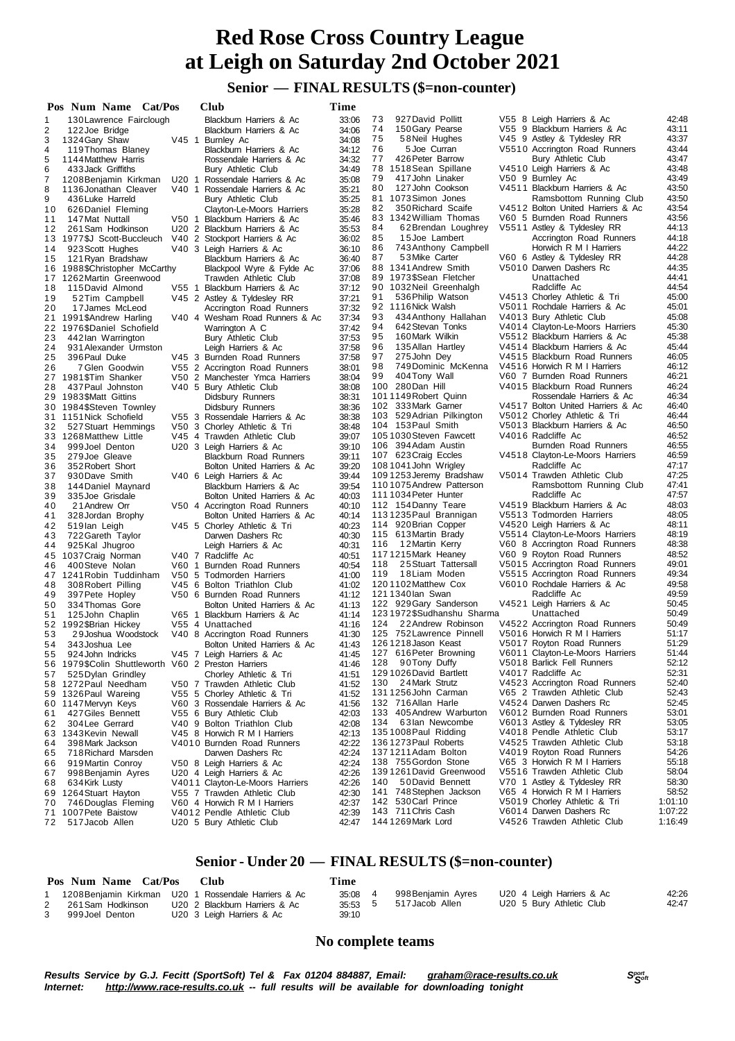## **Senior — FINAL RESULTS (\$=non-counter)**

|          | Pos Num Name Cat/Pos                                |         | Club                                                           | Time           |          |                                               |                                                           |                |
|----------|-----------------------------------------------------|---------|----------------------------------------------------------------|----------------|----------|-----------------------------------------------|-----------------------------------------------------------|----------------|
| 1        | 130 Lawrence Fairclough                             |         | Blackburn Harriers & Ac                                        | 33:06          | 73       | 927 David Pollitt                             | V55 8 Leigh Harriers & Ac                                 | 42:48          |
| 2        | 122 Joe Bridge                                      |         | Blackburn Harriers & Ac                                        | 34:06          | 74       | 150 Gary Pearse                               | V55 9 Blackburn Harriers & Ac                             | 43:11          |
| 3        | 1324 Gary Shaw                                      | $V45$ 1 | Burnley Ac                                                     | 34:08          | 75       | 58 Neil Hughes                                | V45 9 Astley & Tyldesley RR                               | 43:37          |
| 4        | 119 Thomas Blaney                                   |         | Blackburn Harriers & Ac                                        | 34:12          | 76       | 5 Joe Curran                                  | V5510 Accrington Road Runners                             | 43:44          |
| 5        | 1144 Matthew Harris                                 |         | Rossendale Harriers & Ac                                       | 34:32          | 77       | 426 Peter Barrow                              | Bury Athletic Club                                        | 43:47          |
| 6        | 433 Jack Griffiths                                  |         | <b>Bury Athletic Club</b>                                      | 34:49          |          | 78 1518 Sean Spillane                         | V4510 Leigh Harriers & Ac                                 | 43:48          |
| 7        | 1208 Benjamin Kirkman                               | U20 1   | Rossendale Harriers & Ac                                       | 35:08          | 79       | 417 John Linaker                              | V50 9 Burnley Ac                                          | 43:49          |
| 8        | 1136 Jonathan Cleaver                               |         | V40 1 Rossendale Harriers & Ac                                 | 35:21          | 80       | 127 John Cookson                              | V4511 Blackburn Harriers & Ac                             | 43:50          |
| 9        | 436 Luke Harreld                                    |         | Bury Athletic Club                                             | 35:25          |          | 81 1073 Simon Jones                           | Ramsbottom Running Club                                   | 43:50          |
| 10       | 626 Daniel Fleming                                  |         | Clayton-Le-Moors Harriers                                      | 35:28          | 82       | 350 Richard Scaife                            | V4512 Bolton United Harriers & Ac                         | 43:54          |
| 11       | 147 Mat Nuttall                                     | V50 1   | Blackburn Harriers & Ac                                        | 35:46          |          | 83 1342 William Thomas                        | V60 5 Burnden Road Runners                                | 43:56          |
| 12       | 261 Sam Hodkinson                                   |         | U20 2 Blackburn Harriers & Ac                                  | 35:53          | 84<br>85 | 62 Brendan Loughrey                           | V5511 Astley & Tyldesley RR                               | 44:13<br>44:18 |
|          | 13 1977\$J Scott-Buccleuch                          |         | V40 2 Stockport Harriers & Ac                                  | 36:02          | 86       | 15Joe Lambert<br>743 Anthony Campbell         | Accrington Road Runners<br>Horwich R M I Harriers         | 44:22          |
| 14       | 923 Scott Hughes                                    |         | V40 3 Leigh Harriers & Ac                                      | 36:10          | 87       | 53 Mike Carter                                | V60 6 Astley & Tyldesley RR                               | 44:28          |
| 15       | 121 Ryan Bradshaw<br>16 1988 \$Christopher McCarthy |         | Blackburn Harriers & Ac<br>Blackpool Wyre & Fylde Ac           | 36:40<br>37:06 |          | 88 1341 Andrew Smith                          | V5010 Darwen Dashers Rc                                   | 44:35          |
|          | 17 1262 Martin Greenwood                            |         | Trawden Athletic Club                                          | 37:08          |          | 89 1973\$Sean Fletcher                        | Unattached                                                | 44:41          |
| 18       | 115 David Almond                                    | $V55$ 1 | Blackburn Harriers & Ac                                        | 37:12          |          | 90 1032 Neil Greenhalgh                       | Radcliffe Ac                                              | 44:54          |
| 19       | 52Tim Campbell                                      |         | V45 2 Astley & Tyldesley RR                                    | 37:21          | 91       | 536 Philip Watson                             | V4513 Chorley Athletic & Tri                              | 45:00          |
| 20       | 17 James McLeod                                     |         | Accrington Road Runners                                        | 37:32          |          | 92 1116 Nick Walsh                            | V5011 Rochdale Harriers & Ac                              | 45:01          |
|          | 21 1991\$Andrew Harling                             |         | V40 4 Wesham Road Runners & Ac                                 | 37:34          | 93       | 434 Anthony Hallahan                          | V4013 Bury Athletic Club                                  | 45:08          |
|          | 22 1976\$Daniel Schofield                           |         | Warrington A C                                                 | 37:42          | 94       | 642 Stevan Tonks                              | V4014 Clayton-Le-Moors Harriers                           | 45:30          |
| 23       | 442 lan Warrington                                  |         | Bury Athletic Club                                             | 37:53          | 95       | 160 Mark Wilkin                               | V5512 Blackburn Harriers & Ac                             | 45:38          |
| 24       | 931 Alexander Urmston                               |         | Leigh Harriers & Ac                                            | 37:58          | 96       | 135 Allan Hartley                             | V4514 Blackburn Harriers & Ac                             | 45:44          |
| 25       | 396 Paul Duke                                       |         | V45 3 Burnden Road Runners                                     | 37:58          | 97       | 275 John Dey                                  | V4515 Blackburn Road Runners                              | 46:05          |
| 26       | 7 Glen Goodwin                                      |         | V55 2 Accrington Road Runners                                  | 38:01          | 98       | 749Dominic McKenna                            | V4516 Horwich R M I Harriers                              | 46:12          |
|          | 27 1981\$Tim Shanker                                |         | V50 2 Manchester Ymca Harriers                                 | 38:04          | 99       | 404Tony Wall                                  | V60 7 Burnden Road Runners                                | 46:21          |
| 28       | 437 Paul Johnston                                   |         | V40 5 Bury Athletic Club                                       | 38:08          |          | 100 280 Dan Hill                              | V4015 Blackburn Road Runners                              | 46:24          |
| 29       | 1983\$Matt Gittins                                  |         | Didsbury Runners                                               | 38:31          |          | 1011149 Robert Quinn                          | Rossendale Harriers & Ac                                  | 46:34          |
|          | 30 1984\$Steven Townley                             |         | Didsbury Runners                                               | 38:36          |          | 102 333 Mark Garner                           | V4517 Bolton United Harriers & Ac                         | 46:40          |
|          | 31 1151 Nick Schofield                              |         | V55 3 Rossendale Harriers & Ac                                 | 38:38          |          | 103 529 Adrian Pilkington                     | V5012 Chorley Athletic & Tri                              | 46:44          |
| 32       | 527 Stuart Hemmings                                 |         | V50 3 Chorley Athletic & Tri                                   | 38:48          |          | 104 153 Paul Smith                            | V5013 Blackburn Harriers & Ac                             | 46:50          |
|          | 33 1268 Matthew Little                              |         | V45 4 Trawden Athletic Club                                    | 39:07          |          | 1051030 Steven Fawcett                        | V4016 Radcliffe Ac                                        | 46:52          |
| 34       | 999 Joel Denton                                     |         | U20 3 Leigh Harriers & Ac                                      | 39:10          |          | 106 394 Adam Austin                           | Burnden Road Runners                                      | 46:55          |
| 35       | 279 Joe Gleave                                      |         | <b>Blackburn Road Runners</b>                                  | 39:11          |          | 107 623 Craig Eccles                          | V4518 Clayton-Le-Moors Harriers                           | 46:59          |
| 36       | 352 Robert Short                                    |         | Bolton United Harriers & Ac                                    | 39:20          |          | 108 1041 John Wrigley                         | Radcliffe Ac                                              | 47:17          |
| 37       | 930 Dave Smith                                      |         | V40 6 Leigh Harriers & Ac                                      | 39:44          |          | 1091253 Jeremy Bradshaw                       | V5014 Trawden Athletic Club                               | 47:25          |
| 38       | 144 Daniel Maynard                                  |         | Blackburn Harriers & Ac                                        | 39:54          |          | 1101075 Andrew Patterson                      | Ramsbottom Running Club                                   | 47:41          |
| 39       | 335 Joe Grisdale                                    |         | Bolton United Harriers & Ac                                    | 40:03          |          | 1111034 Peter Hunter                          | Radcliffe Ac<br>V4519 Blackburn Harriers & Ac             | 47:57<br>48:03 |
| 40       | 21 Andrew Orr                                       |         | V50 4 Accrington Road Runners                                  | 40:10<br>40:14 |          | 112 154 Danny Teare<br>1131235 Paul Brannigan | V5513 Todmorden Harriers                                  | 48:05          |
| 41<br>42 | 328 Jordan Brophy                                   |         | Bolton United Harriers & Ac<br>V45 5 Chorley Athletic & Tri    | 40:23          |          | 114 920 Brian Copper                          | V4520 Leigh Harriers & Ac                                 | 48:11          |
| 43       | 519 lan Leigh<br>722 Gareth Taylor                  |         | Darwen Dashers Rc                                              | 40:30          |          | 115 613 Martin Brady                          | V5514 Clayton-Le-Moors Harriers                           | 48:19          |
| 44       | 925 Kal Jhugroo                                     |         | Leigh Harriers & Ac                                            | 40:31          | 116      | 12 Martin Kerry                               | V60 8 Accrington Road Runners                             | 48:38          |
| 45       | 1037 Craig Norman                                   |         | V40 7 Radcliffe Ac                                             | 40:51          |          | 1171215 Mark Heaney                           | V60 9 Royton Road Runners                                 | 48:52          |
| 46       | 400 Steve Nolan                                     |         | V60 1 Burnden Road Runners                                     | 40.54          | 118      | 25 Stuart Tattersall                          | V5015 Accrington Road Runners                             | 49:01          |
|          | 47 1241 Robin Tuddinham                             |         | V50 5 Todmorden Harriers                                       | 41:00          | 119      | 18Liam Moden                                  | V5515 Accrington Road Runners                             | 49:34          |
| 48       | 308 Robert Pilling                                  |         | V45 6 Bolton Triathlon Club                                    | 41:02          |          | 1201102Matthew Cox                            | V6010 Rochdale Harriers & Ac                              | 49:58          |
| 49       | 397 Pete Hopley                                     |         | V50 6 Burnden Road Runners                                     | 41:12          |          | 1211340 lan Swan                              | Radcliffe Ac                                              | 49:59          |
| 50       | 334 Thomas Gore                                     |         | Bolton United Harriers & Ac                                    | 41:13          |          | 122 929 Gary Sanderson                        | V4521 Leigh Harriers & Ac                                 | 50:45          |
| 51       | 125 John Chaplin                                    |         | V65 1 Blackburn Harriers & Ac                                  | 41:14          |          | 1231972\$Sudhanshu Sharma                     | Unattached                                                | 50:49          |
|          | 52 1992 SBrian Hickey                               |         | V55 4 Unattached                                               | 41:16          | 124      | 22 Andrew Robinson                            | V4522 Accrington Road Runners                             | 50:49          |
| 53       | 29 Joshua Woodstock                                 |         | V40 8 Accrington Road Runners                                  | 41:30          |          | 125 752 Lawrence Pinnell                      | V5016 Horwich R M I Harriers                              | 51:17          |
| 54       | 343 Joshua Lee                                      |         | Bolton United Harriers & Ac                                    | 41:43          |          | 126 1218 Jason Keast                          | V5017 Royton Road Runners                                 | 51:29          |
| 55       | 924 John Indricks                                   |         | V45 7 Leigh Harriers & Ac                                      | 41:45          |          | 127 616 Peter Browning                        | V6011 Clayton-Le-Moors Harriers                           | 51:44          |
| 56       | 1979\$Colin Shuttleworth V60 2 Preston Harriers     |         |                                                                | 41:46          | 128      | 90Tony Duffy                                  | V5018 Barlick Fell Runners                                | 52:12          |
| 57       | 525 Dylan Grindley                                  |         | Chorley Athletic & Tri                                         | 41:51          |          | 129 1026 David Bartlett                       | V4017 Radcliffe Ac                                        | 52:31          |
|          | 58 1272 Paul Needham                                |         | V50 7 Trawden Athletic Club                                    | 41:52          | 130      | 24 Mark Strutz                                | V4523 Accrington Road Runners                             | 52:40          |
|          | 59 1326 Paul Wareing                                |         | V55 5 Chorley Athletic & Tri                                   | 41:52          |          | 131 1256 John Carman                          | V65 2 Trawden Athletic Club                               | 52:43          |
| 60       | 1147 Mervyn Keys                                    |         | V60 3 Rossendale Harriers & Ac                                 | 41:56          |          | 132 716 Allan Harle                           | V4524 Darwen Dashers Rc                                   | 52:45          |
| 61       | 427 Giles Bennett                                   |         | V55 6 Bury Athletic Club                                       | 42:03          |          | 133 405 Andrew Warburton                      | V6012 Burnden Road Runners                                | 53:01          |
| 62       | 304 Lee Gerrard                                     |         | V40 9 Bolton Triathlon Club                                    | 42:08          | 134      | 63Ian Newcombe                                | V6013 Astley & Tyldesley RR                               | 53:05          |
| 63       | 1343 Kevin Newall                                   |         | V45 8 Horwich R M I Harriers                                   | 42:13          |          | 1351008 Paul Ridding                          | V4018 Pendle Athletic Club                                | 53:17          |
| 64       | 398 Mark Jackson                                    |         | V4010 Burnden Road Runners                                     | 42:22          |          | 136 1273 Paul Roberts                         | V4525 Trawden Athletic Club                               | 53:18          |
| 65       | 718 Richard Marsden                                 |         | Darwen Dashers Rc                                              | 42:24          |          | 1371211 Adam Bolton<br>138 755 Gordon Stone   | V4019 Royton Road Runners<br>V65 3 Horwich R M I Harriers | 54:26<br>55:18 |
| 66       | 919 Martin Conroy                                   |         | V50 8 Leigh Harriers & Ac                                      | 42:24          |          | 1391261 David Greenwood                       | V5516 Trawden Athletic Club                               | 58:04          |
| 67       | 998 Benjamin Ayres<br>634 Kirk Lusty                |         | U20 4 Leigh Harriers & Ac                                      | 42:26<br>42:26 | 140      | 50David Bennett                               | V70 1 Astley & Tyldesley RR                               | 58:30          |
| 68<br>69 | 1264 Stuart Hayton                                  |         | V4011 Clayton-Le-Moors Harriers<br>V55 7 Trawden Athletic Club | 42:30          | 141      | 748 Stephen Jackson                           | V65 4 Horwich R M I Harriers                              | 58:52          |
| 70       | 746 Douglas Fleming                                 |         | V60 4 Horwich R M I Harriers                                   | 42:37          |          | 142 530 Carl Prince                           | V5019 Chorley Athletic & Tri                              | 1:01:10        |
| 71       | 1007 Pete Baistow                                   |         | V4012 Pendle Athletic Club                                     | 42:39          |          | 143 711 Chris Cash                            | V6014 Darwen Dashers Rc                                   | 1:07:22        |
| 72       | 517 Jacob Allen                                     |         | U20 5 Bury Athletic Club                                       | 42:47          |          | 144 1269 Mark Lord                            | V4526 Trawden Athletic Club                               | 1:16:49        |
|          |                                                     |         |                                                                |                |          |                                               |                                                           |                |

#### **Senior - Under 20 — FINAL RESULTS (\$=non-counter)**

|   | Pos Num Name Cat/Pos | <b>Club</b>                                          | Time  |                    |                           |       |
|---|----------------------|------------------------------------------------------|-------|--------------------|---------------------------|-------|
|   |                      | 1208 Benjamin Kirkman U20 1 Rossendale Harriers & Ac | 35:08 | 998 Benjamin Ayres | U20 4 Leigh Harriers & Ac | 42:26 |
|   | 261 Sam Hodkinson    | U20 2 Blackburn Harriers & Ac                        | 35.53 | 517 Jacob Allen    | U20 5 Bury Athletic Club  | 42:47 |
| 3 | 999Joel Denton       | U20 3 Leigh Harriers & Ac                            | 39:10 |                    |                           |       |

#### **No complete teams**